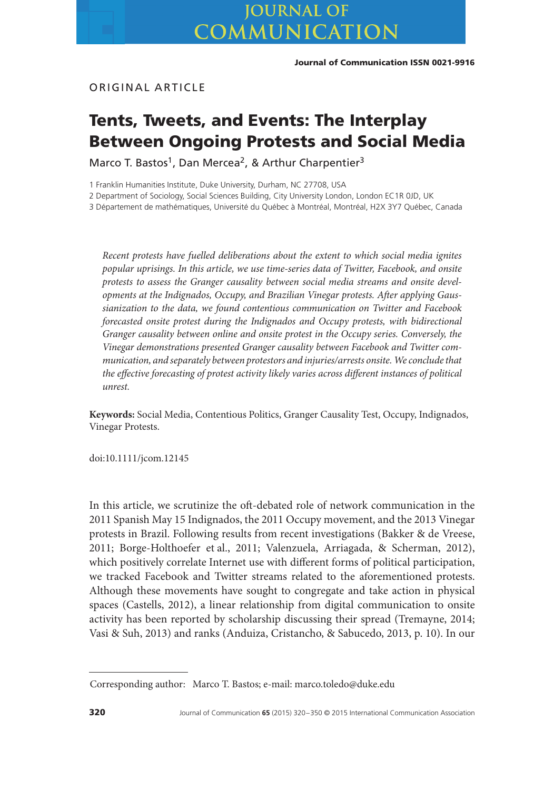ORIGINAL ARTICLE

# **Tents, Tweets, and Events: The Interplay Between Ongoing Protests and Social Media**

Marco T. Bastos<sup>1</sup>, Dan Mercea<sup>2</sup>, & Arthur Charpentier<sup>3</sup>

1 Franklin Humanities Institute, Duke University, Durham, NC 27708, USA

2 Department of Sociology, Social Sciences Building, City University London, London EC1R 0JD, UK

3 Département de mathématiques, Université du Québec à Montréal, Montréal, H2X 3Y7 Québec, Canada

*Recent protests have fuelled deliberations about the extent to which social media ignites popular uprisings. In this article, we use time-series data of Twitter, Facebook, and onsite protests to assess the Granger causality between social media streams and onsite developments at the Indignados, Occupy, and Brazilian Vinegar protests. After applying Gaussianization to the data, we found contentious communication on Twitter and Facebook forecasted onsite protest during the Indignados and Occupy protests, with bidirectional Granger causality between online and onsite protest in the Occupy series. Conversely, the Vinegar demonstrations presented Granger causality between Facebook and Twitter communication, and separately between protestors and injuries/arrests onsite.We conclude that the effective forecasting of protest activity likely varies across different instances of political unrest.*

**Keywords:** Social Media, Contentious Politics, Granger Causality Test, Occupy, Indignados, Vinegar Protests.

doi:10.1111/jcom.12145

In this article, we scrutinize the oft-debated role of network communication in the 2011 Spanish May 15 Indignados, the 2011 Occupy movement, and the 2013 Vinegar protests in Brazil. Following results from recent investigations (Bakker & de Vreese, 2011; Borge-Holthoefer et al., 2011; Valenzuela, Arriagada, & Scherman, 2012), which positively correlate Internet use with different forms of political participation, we tracked Facebook and Twitter streams related to the aforementioned protests. Although these movements have sought to congregate and take action in physical spaces (Castells, 2012), a linear relationship from digital communication to onsite activity has been reported by scholarship discussing their spread (Tremayne, 2014; Vasi & Suh, 2013) and ranks (Anduiza, Cristancho, & Sabucedo, 2013, p. 10). In our

Corresponding author: Marco T. Bastos; e-mail: marco.toledo@duke.edu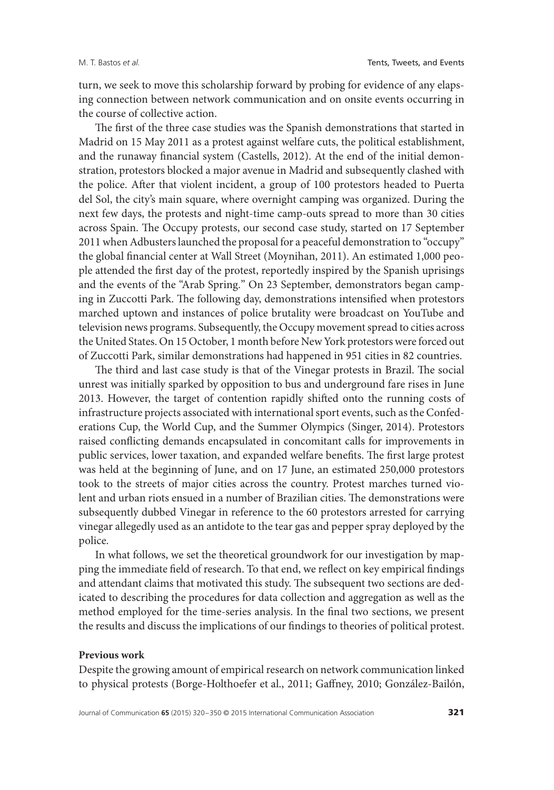turn, we seek to move this scholarship forward by probing for evidence of any elapsing connection between network communication and on onsite events occurring in the course of collective action.

The first of the three case studies was the Spanish demonstrations that started in Madrid on 15 May 2011 as a protest against welfare cuts, the political establishment, and the runaway financial system (Castells, 2012). At the end of the initial demonstration, protestors blocked a major avenue in Madrid and subsequently clashed with the police. After that violent incident, a group of 100 protestors headed to Puerta del Sol, the city's main square, where overnight camping was organized. During the next few days, the protests and night-time camp-outs spread to more than 30 cities across Spain. The Occupy protests, our second case study, started on 17 September 2011 when Adbusters launched the proposal for a peaceful demonstration to "occupy" the global financial center at Wall Street (Moynihan, 2011). An estimated 1,000 people attended the first day of the protest, reportedly inspired by the Spanish uprisings and the events of the "Arab Spring." On 23 September, demonstrators began camping in Zuccotti Park. The following day, demonstrations intensified when protestors marched uptown and instances of police brutality were broadcast on YouTube and television news programs. Subsequently, the Occupy movement spread to cities across the United States. On 15 October, 1 month before New York protestors were forced out of Zuccotti Park, similar demonstrations had happened in 951 cities in 82 countries.

The third and last case study is that of the Vinegar protests in Brazil. The social unrest was initially sparked by opposition to bus and underground fare rises in June 2013. However, the target of contention rapidly shifted onto the running costs of infrastructure projects associated with international sport events, such as the Confederations Cup, the World Cup, and the Summer Olympics (Singer, 2014). Protestors raised conflicting demands encapsulated in concomitant calls for improvements in public services, lower taxation, and expanded welfare benefits. The first large protest was held at the beginning of June, and on 17 June, an estimated 250,000 protestors took to the streets of major cities across the country. Protest marches turned violent and urban riots ensued in a number of Brazilian cities. The demonstrations were subsequently dubbed Vinegar in reference to the 60 protestors arrested for carrying vinegar allegedly used as an antidote to the tear gas and pepper spray deployed by the police.

In what follows, we set the theoretical groundwork for our investigation by mapping the immediate field of research. To that end, we reflect on key empirical findings and attendant claims that motivated this study. The subsequent two sections are dedicated to describing the procedures for data collection and aggregation as well as the method employed for the time-series analysis. In the final two sections, we present the results and discuss the implications of our findings to theories of political protest.

#### **Previous work**

Despite the growing amount of empirical research on network communication linked to physical protests (Borge-Holthoefer et al., 2011; Gaffney, 2010; González-Bailón,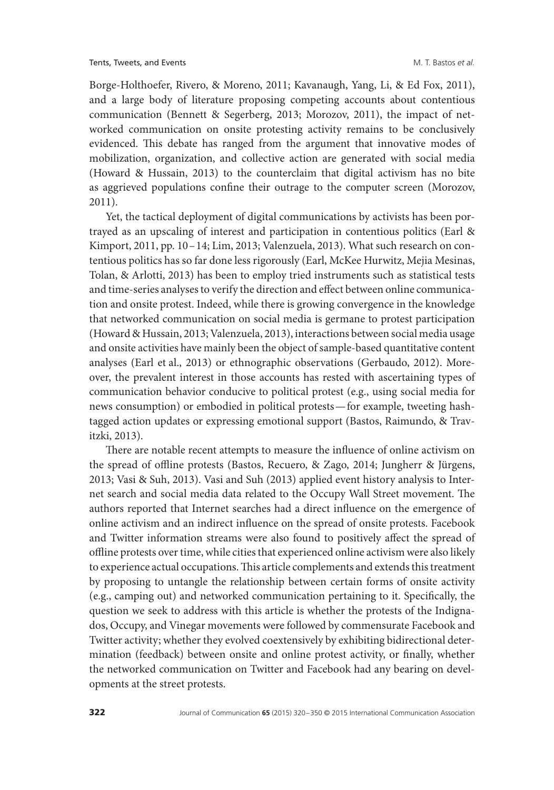Borge-Holthoefer, Rivero, & Moreno, 2011; Kavanaugh, Yang, Li, & Ed Fox, 2011), and a large body of literature proposing competing accounts about contentious communication (Bennett & Segerberg, 2013; Morozov, 2011), the impact of networked communication on onsite protesting activity remains to be conclusively evidenced. This debate has ranged from the argument that innovative modes of mobilization, organization, and collective action are generated with social media (Howard & Hussain, 2013) to the counterclaim that digital activism has no bite as aggrieved populations confine their outrage to the computer screen (Morozov, 2011).

Yet, the tactical deployment of digital communications by activists has been portrayed as an upscaling of interest and participation in contentious politics (Earl & Kimport, 2011, pp. 10–14; Lim, 2013; Valenzuela, 2013). What such research on contentious politics has so far done less rigorously (Earl, McKee Hurwitz, Mejia Mesinas, Tolan, & Arlotti, 2013) has been to employ tried instruments such as statistical tests and time-series analyses to verify the direction and effect between online communication and onsite protest. Indeed, while there is growing convergence in the knowledge that networked communication on social media is germane to protest participation (Howard & Hussain, 2013; Valenzuela, 2013), interactions between social media usage and onsite activities have mainly been the object of sample-based quantitative content analyses (Earl et al., 2013) or ethnographic observations (Gerbaudo, 2012). Moreover, the prevalent interest in those accounts has rested with ascertaining types of communication behavior conducive to political protest (e.g., using social media for news consumption) or embodied in political protests—for example, tweeting hashtagged action updates or expressing emotional support (Bastos, Raimundo, & Travitzki, 2013).

There are notable recent attempts to measure the influence of online activism on the spread of offline protests (Bastos, Recuero, & Zago, 2014; Jungherr & Jürgens, 2013; Vasi & Suh, 2013). Vasi and Suh (2013) applied event history analysis to Internet search and social media data related to the Occupy Wall Street movement. The authors reported that Internet searches had a direct influence on the emergence of online activism and an indirect influence on the spread of onsite protests. Facebook and Twitter information streams were also found to positively affect the spread of offline protests over time, while cities that experienced online activism were also likely to experience actual occupations.This article complements and extends this treatment by proposing to untangle the relationship between certain forms of onsite activity (e.g., camping out) and networked communication pertaining to it. Specifically, the question we seek to address with this article is whether the protests of the Indignados, Occupy, and Vinegar movements were followed by commensurate Facebook and Twitter activity; whether they evolved coextensively by exhibiting bidirectional determination (feedback) between onsite and online protest activity, or finally, whether the networked communication on Twitter and Facebook had any bearing on developments at the street protests.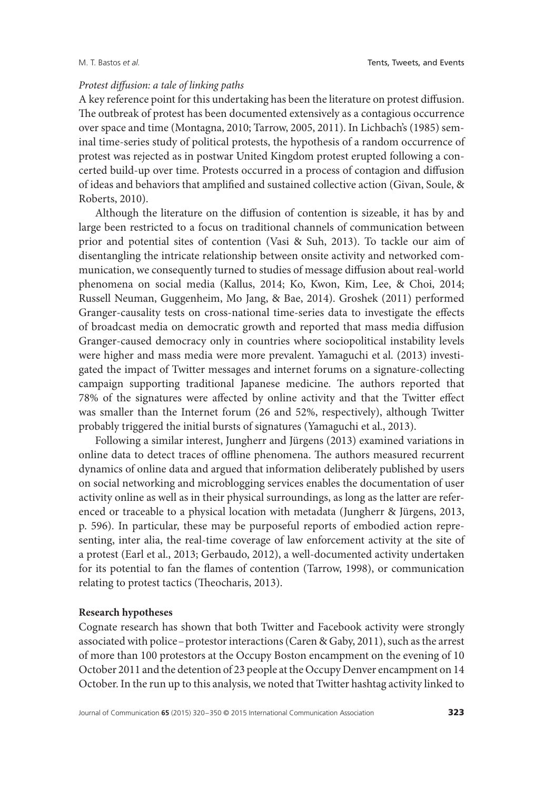## *Protest diffusion: a tale of linking paths*

A key reference point for this undertaking has been the literature on protest diffusion. The outbreak of protest has been documented extensively as a contagious occurrence over space and time (Montagna, 2010; Tarrow, 2005, 2011). In Lichbach's (1985) seminal time-series study of political protests, the hypothesis of a random occurrence of protest was rejected as in postwar United Kingdom protest erupted following a concerted build-up over time. Protests occurred in a process of contagion and diffusion of ideas and behaviors that amplified and sustained collective action (Givan, Soule, & Roberts, 2010).

Although the literature on the diffusion of contention is sizeable, it has by and large been restricted to a focus on traditional channels of communication between prior and potential sites of contention (Vasi & Suh, 2013). To tackle our aim of disentangling the intricate relationship between onsite activity and networked communication, we consequently turned to studies of message diffusion about real-world phenomena on social media (Kallus, 2014; Ko, Kwon, Kim, Lee, & Choi, 2014; Russell Neuman, Guggenheim, Mo Jang, & Bae, 2014). Groshek (2011) performed Granger-causality tests on cross-national time-series data to investigate the effects of broadcast media on democratic growth and reported that mass media diffusion Granger-caused democracy only in countries where sociopolitical instability levels were higher and mass media were more prevalent. Yamaguchi et al. (2013) investigated the impact of Twitter messages and internet forums on a signature-collecting campaign supporting traditional Japanese medicine. The authors reported that 78% of the signatures were affected by online activity and that the Twitter effect was smaller than the Internet forum (26 and 52%, respectively), although Twitter probably triggered the initial bursts of signatures (Yamaguchi et al., 2013).

Following a similar interest, Jungherr and Jürgens (2013) examined variations in online data to detect traces of offline phenomena. The authors measured recurrent dynamics of online data and argued that information deliberately published by users on social networking and microblogging services enables the documentation of user activity online as well as in their physical surroundings, as long as the latter are referenced or traceable to a physical location with metadata (Jungherr & Jürgens, 2013, p. 596). In particular, these may be purposeful reports of embodied action representing, inter alia, the real-time coverage of law enforcement activity at the site of a protest (Earl et al., 2013; Gerbaudo, 2012), a well-documented activity undertaken for its potential to fan the flames of contention (Tarrow, 1998), or communication relating to protest tactics (Theocharis, 2013).

#### **Research hypotheses**

Cognate research has shown that both Twitter and Facebook activity were strongly associated with police–protestor interactions (Caren & Gaby, 2011), such as the arrest of more than 100 protestors at the Occupy Boston encampment on the evening of 10 October 2011 and the detention of 23 people at the Occupy Denver encampment on 14 October. In the run up to this analysis, we noted that Twitter hashtag activity linked to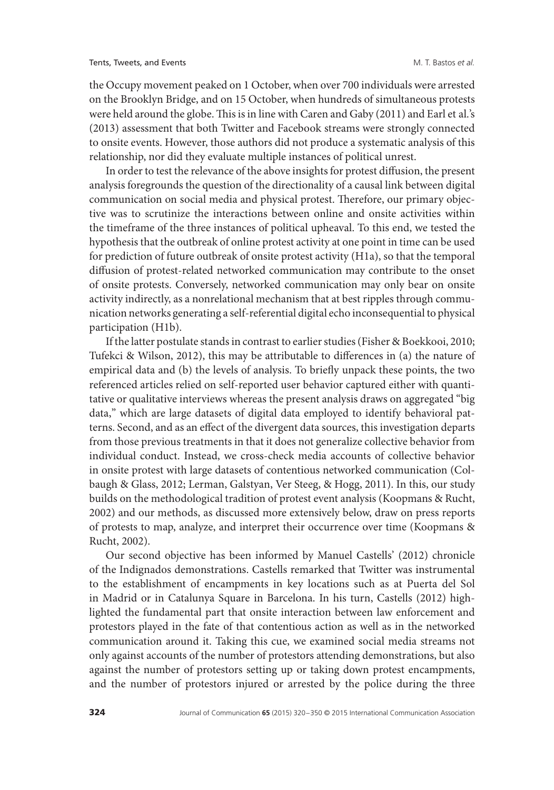the Occupy movement peaked on 1 October, when over 700 individuals were arrested on the Brooklyn Bridge, and on 15 October, when hundreds of simultaneous protests were held around the globe. This is in line with Caren and Gaby (2011) and Earl et al.'s (2013) assessment that both Twitter and Facebook streams were strongly connected to onsite events. However, those authors did not produce a systematic analysis of this relationship, nor did they evaluate multiple instances of political unrest.

In order to test the relevance of the above insights for protest diffusion, the present analysis foregrounds the question of the directionality of a causal link between digital communication on social media and physical protest. Therefore, our primary objective was to scrutinize the interactions between online and onsite activities within the timeframe of the three instances of political upheaval. To this end, we tested the hypothesis that the outbreak of online protest activity at one point in time can be used for prediction of future outbreak of onsite protest activity (H1a), so that the temporal diffusion of protest-related networked communication may contribute to the onset of onsite protests. Conversely, networked communication may only bear on onsite activity indirectly, as a nonrelational mechanism that at best ripples through communication networks generating a self-referential digital echo inconsequential to physical participation (H1b).

If the latter postulate stands in contrast to earlier studies (Fisher & Boekkooi, 2010; Tufekci & Wilson, 2012), this may be attributable to differences in (a) the nature of empirical data and (b) the levels of analysis. To briefly unpack these points, the two referenced articles relied on self-reported user behavior captured either with quantitative or qualitative interviews whereas the present analysis draws on aggregated "big data," which are large datasets of digital data employed to identify behavioral patterns. Second, and as an effect of the divergent data sources, this investigation departs from those previous treatments in that it does not generalize collective behavior from individual conduct. Instead, we cross-check media accounts of collective behavior in onsite protest with large datasets of contentious networked communication (Colbaugh & Glass, 2012; Lerman, Galstyan, Ver Steeg, & Hogg, 2011). In this, our study builds on the methodological tradition of protest event analysis (Koopmans & Rucht, 2002) and our methods, as discussed more extensively below, draw on press reports of protests to map, analyze, and interpret their occurrence over time (Koopmans & Rucht, 2002).

Our second objective has been informed by Manuel Castells' (2012) chronicle of the Indignados demonstrations. Castells remarked that Twitter was instrumental to the establishment of encampments in key locations such as at Puerta del Sol in Madrid or in Catalunya Square in Barcelona. In his turn, Castells (2012) highlighted the fundamental part that onsite interaction between law enforcement and protestors played in the fate of that contentious action as well as in the networked communication around it. Taking this cue, we examined social media streams not only against accounts of the number of protestors attending demonstrations, but also against the number of protestors setting up or taking down protest encampments, and the number of protestors injured or arrested by the police during the three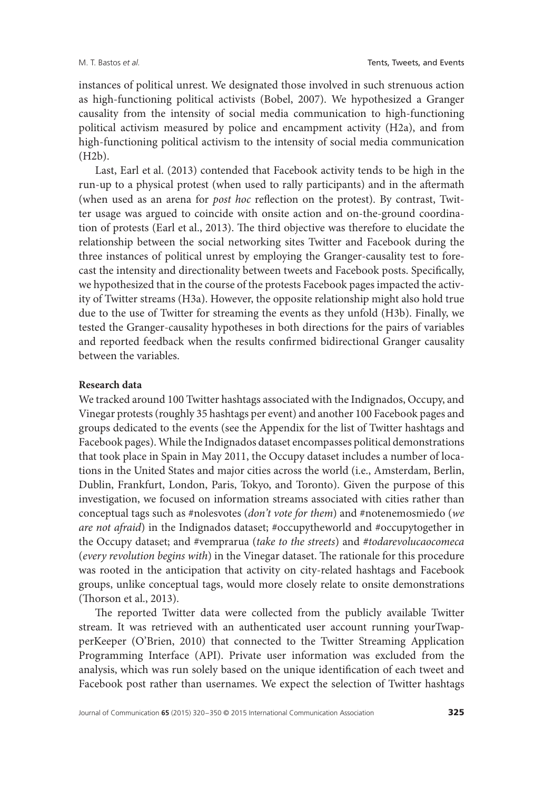instances of political unrest. We designated those involved in such strenuous action as high-functioning political activists (Bobel, 2007). We hypothesized a Granger causality from the intensity of social media communication to high-functioning political activism measured by police and encampment activity (H2a), and from high-functioning political activism to the intensity of social media communication (H2b).

Last, Earl et al. (2013) contended that Facebook activity tends to be high in the run-up to a physical protest (when used to rally participants) and in the aftermath (when used as an arena for *post hoc* reflection on the protest). By contrast, Twitter usage was argued to coincide with onsite action and on-the-ground coordination of protests (Earl et al., 2013). The third objective was therefore to elucidate the relationship between the social networking sites Twitter and Facebook during the three instances of political unrest by employing the Granger-causality test to forecast the intensity and directionality between tweets and Facebook posts. Specifically, we hypothesized that in the course of the protests Facebook pages impacted the activity of Twitter streams (H3a). However, the opposite relationship might also hold true due to the use of Twitter for streaming the events as they unfold (H3b). Finally, we tested the Granger-causality hypotheses in both directions for the pairs of variables and reported feedback when the results confirmed bidirectional Granger causality between the variables.

# **Research data**

We tracked around 100 Twitter hashtags associated with the Indignados, Occupy, and Vinegar protests (roughly 35 hashtags per event) and another 100 Facebook pages and groups dedicated to the events (see the Appendix for the list of Twitter hashtags and Facebook pages).While the Indignados dataset encompasses political demonstrations that took place in Spain in May 2011, the Occupy dataset includes a number of locations in the United States and major cities across the world (i.e., Amsterdam, Berlin, Dublin, Frankfurt, London, Paris, Tokyo, and Toronto). Given the purpose of this investigation, we focused on information streams associated with cities rather than conceptual tags such as #nolesvotes (*don't vote for them*) and #notenemosmiedo (*we are not afraid*) in the Indignados dataset; #occupytheworld and #occupytogether in the Occupy dataset; and #vemprarua (*take to the streets*) and *#todarevolucaocomeca* (*every revolution begins with*) in the Vinegar dataset. The rationale for this procedure was rooted in the anticipation that activity on city-related hashtags and Facebook groups, unlike conceptual tags, would more closely relate to onsite demonstrations (Thorson et al., 2013).

The reported Twitter data were collected from the publicly available Twitter stream. It was retrieved with an authenticated user account running yourTwapperKeeper (O'Brien, 2010) that connected to the Twitter Streaming Application Programming Interface (API). Private user information was excluded from the analysis, which was run solely based on the unique identification of each tweet and Facebook post rather than usernames. We expect the selection of Twitter hashtags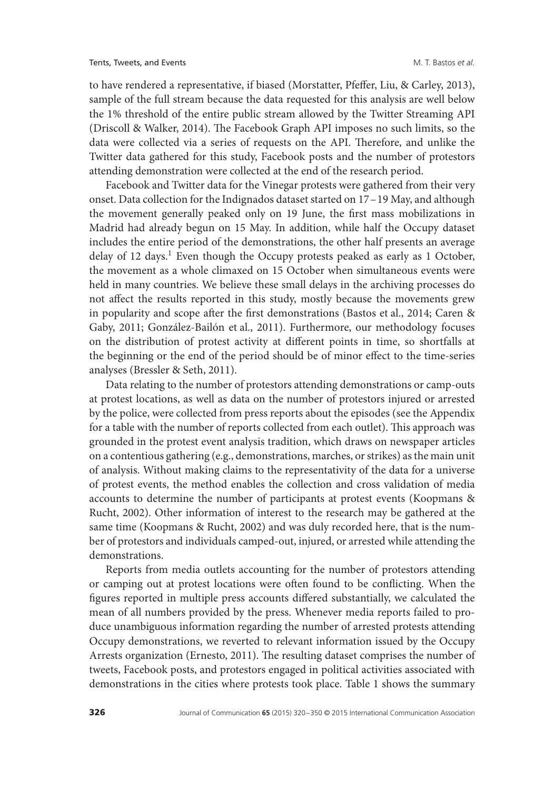to have rendered a representative, if biased (Morstatter, Pfeffer, Liu, & Carley, 2013), sample of the full stream because the data requested for this analysis are well below the 1% threshold of the entire public stream allowed by the Twitter Streaming API (Driscoll & Walker, 2014). The Facebook Graph API imposes no such limits, so the data were collected via a series of requests on the API. Therefore, and unlike the Twitter data gathered for this study, Facebook posts and the number of protestors attending demonstration were collected at the end of the research period.

Facebook and Twitter data for the Vinegar protests were gathered from their very onset. Data collection for the Indignados dataset started on 17–19 May, and although the movement generally peaked only on 19 June, the first mass mobilizations in Madrid had already begun on 15 May. In addition, while half the Occupy dataset includes the entire period of the demonstrations, the other half presents an average delay of 12 days.<sup>1</sup> Even though the Occupy protests peaked as early as 1 October, the movement as a whole climaxed on 15 October when simultaneous events were held in many countries. We believe these small delays in the archiving processes do not affect the results reported in this study, mostly because the movements grew in popularity and scope after the first demonstrations (Bastos et al., 2014; Caren & Gaby, 2011; González-Bailón et al., 2011). Furthermore, our methodology focuses on the distribution of protest activity at different points in time, so shortfalls at the beginning or the end of the period should be of minor effect to the time-series analyses (Bressler & Seth, 2011).

Data relating to the number of protestors attending demonstrations or camp-outs at protest locations, as well as data on the number of protestors injured or arrested by the police, were collected from press reports about the episodes (see the Appendix for a table with the number of reports collected from each outlet). This approach was grounded in the protest event analysis tradition, which draws on newspaper articles on a contentious gathering (e.g., demonstrations, marches, or strikes) as the main unit of analysis. Without making claims to the representativity of the data for a universe of protest events, the method enables the collection and cross validation of media accounts to determine the number of participants at protest events (Koopmans & Rucht, 2002). Other information of interest to the research may be gathered at the same time (Koopmans & Rucht, 2002) and was duly recorded here, that is the number of protestors and individuals camped-out, injured, or arrested while attending the demonstrations.

Reports from media outlets accounting for the number of protestors attending or camping out at protest locations were often found to be conflicting. When the figures reported in multiple press accounts differed substantially, we calculated the mean of all numbers provided by the press. Whenever media reports failed to produce unambiguous information regarding the number of arrested protests attending Occupy demonstrations, we reverted to relevant information issued by the Occupy Arrests organization (Ernesto, 2011). The resulting dataset comprises the number of tweets, Facebook posts, and protestors engaged in political activities associated with demonstrations in the cities where protests took place. Table 1 shows the summary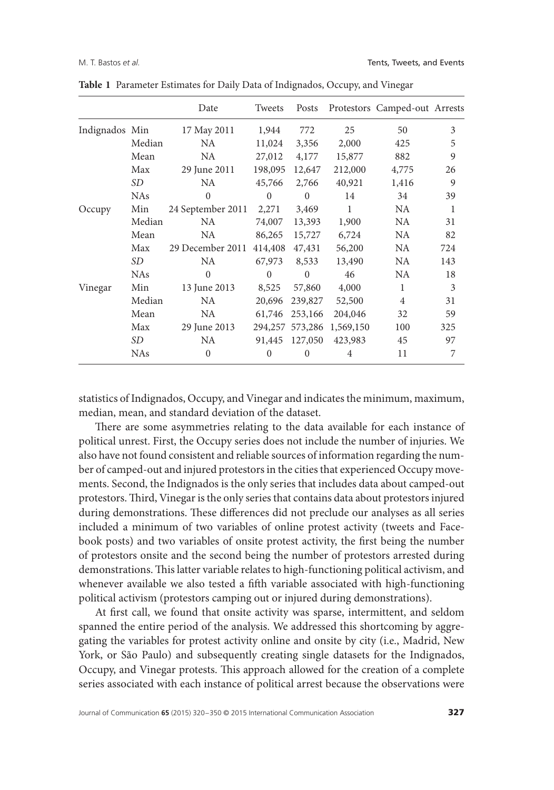|                |            | Date              | Tweets   | Posts    |                | Protestors Camped-out Arrests |     |
|----------------|------------|-------------------|----------|----------|----------------|-------------------------------|-----|
| Indignados Min |            | 17 May 2011       | 1,944    | 772      | 25             | 50                            | 3   |
|                | Median     | NA.               | 11,024   | 3,356    | 2,000          | 425                           | 5   |
|                | Mean       | NA                | 27,012   | 4,177    | 15,877         | 882                           | 9   |
|                | Max        | 29 June 2011      | 198,095  | 12,647   | 212,000        | 4,775                         | 26  |
|                | SD         | NA.               | 45,766   | 2,766    | 40,921         | 1,416                         | 9   |
|                | <b>NAs</b> | $\Omega$          | $\Omega$ | $\Omega$ | 14             | 34                            | 39  |
| Occupy         | Min        | 24 September 2011 | 2,271    | 3,469    | 1              | NA.                           | 1   |
|                | Median     | NA.               | 74,007   | 13,393   | 1,900          | NA.                           | 31  |
|                | Mean       | <b>NA</b>         | 86,265   | 15,727   | 6,724          | NA.                           | 82  |
|                | Max        | 29 December 2011  | 414,408  | 47,431   | 56,200         | NA                            | 724 |
|                | SD         | NA.               | 67,973   | 8,533    | 13,490         | NA.                           | 143 |
|                | <b>NAs</b> | $\theta$          | $\theta$ | $\Omega$ | 46             | NA                            | 18  |
| Vinegar        | Min        | 13 June 2013      | 8,525    | 57,860   | 4,000          | $\mathbf{1}$                  | 3   |
|                | Median     | NA                | 20,696   | 239,827  | 52,500         | $\overline{4}$                | 31  |
|                | Mean       | <b>NA</b>         | 61,746   | 253,166  | 204,046        | 32                            | 59  |
|                | Max        | 29 June 2013      | 294,257  | 573,286  | 1,569,150      | 100                           | 325 |
|                | SD         | NA.               | 91,445   | 127,050  | 423,983        | 45                            | 97  |
|                | <b>NAs</b> | $\theta$          | $\Omega$ | $\theta$ | $\overline{4}$ | 11                            | 7   |

**Table 1** Parameter Estimates for Daily Data of Indignados, Occupy, and Vinegar

statistics of Indignados, Occupy, and Vinegar and indicates the minimum, maximum, median, mean, and standard deviation of the dataset.

There are some asymmetries relating to the data available for each instance of political unrest. First, the Occupy series does not include the number of injuries. We also have not found consistent and reliable sources of information regarding the number of camped-out and injured protestors in the cities that experienced Occupy movements. Second, the Indignados is the only series that includes data about camped-out protestors.Third, Vinegar is the only series that contains data about protestors injured during demonstrations. These differences did not preclude our analyses as all series included a minimum of two variables of online protest activity (tweets and Facebook posts) and two variables of onsite protest activity, the first being the number of protestors onsite and the second being the number of protestors arrested during demonstrations. This latter variable relates to high-functioning political activism, and whenever available we also tested a fifth variable associated with high-functioning political activism (protestors camping out or injured during demonstrations).

At first call, we found that onsite activity was sparse, intermittent, and seldom spanned the entire period of the analysis. We addressed this shortcoming by aggregating the variables for protest activity online and onsite by city (i.e., Madrid, New York, or São Paulo) and subsequently creating single datasets for the Indignados, Occupy, and Vinegar protests. This approach allowed for the creation of a complete series associated with each instance of political arrest because the observations were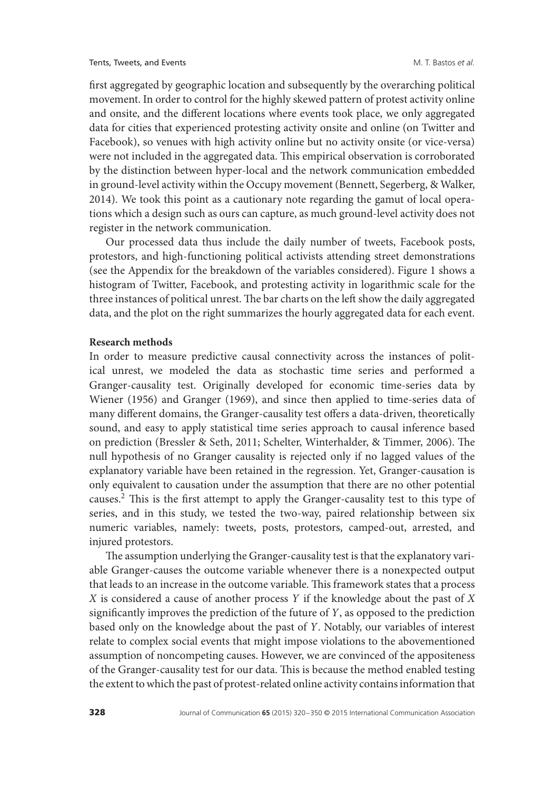first aggregated by geographic location and subsequently by the overarching political movement. In order to control for the highly skewed pattern of protest activity online and onsite, and the different locations where events took place, we only aggregated data for cities that experienced protesting activity onsite and online (on Twitter and Facebook), so venues with high activity online but no activity onsite (or vice-versa) were not included in the aggregated data. This empirical observation is corroborated by the distinction between hyper-local and the network communication embedded in ground-level activity within the Occupy movement (Bennett, Segerberg, & Walker, 2014). We took this point as a cautionary note regarding the gamut of local operations which a design such as ours can capture, as much ground-level activity does not register in the network communication.

Our processed data thus include the daily number of tweets, Facebook posts, protestors, and high-functioning political activists attending street demonstrations (see the Appendix for the breakdown of the variables considered). Figure 1 shows a histogram of Twitter, Facebook, and protesting activity in logarithmic scale for the three instances of political unrest. The bar charts on the left show the daily aggregated data, and the plot on the right summarizes the hourly aggregated data for each event.

#### **Research methods**

In order to measure predictive causal connectivity across the instances of political unrest, we modeled the data as stochastic time series and performed a Granger-causality test. Originally developed for economic time-series data by Wiener (1956) and Granger (1969), and since then applied to time-series data of many different domains, the Granger-causality test offers a data-driven, theoretically sound, and easy to apply statistical time series approach to causal inference based on prediction (Bressler & Seth, 2011; Schelter, Winterhalder, & Timmer, 2006). The null hypothesis of no Granger causality is rejected only if no lagged values of the explanatory variable have been retained in the regression. Yet, Granger-causation is only equivalent to causation under the assumption that there are no other potential causes.2 This is the first attempt to apply the Granger-causality test to this type of series, and in this study, we tested the two-way, paired relationship between six numeric variables, namely: tweets, posts, protestors, camped-out, arrested, and injured protestors.

The assumption underlying the Granger-causality test is that the explanatory variable Granger-causes the outcome variable whenever there is a nonexpected output that leads to an increase in the outcome variable. This framework states that a process *X* is considered a cause of another process *Y* if the knowledge about the past of *X* significantly improves the prediction of the future of *Y*, as opposed to the prediction based only on the knowledge about the past of *Y*. Notably, our variables of interest relate to complex social events that might impose violations to the abovementioned assumption of noncompeting causes. However, we are convinced of the appositeness of the Granger-causality test for our data. This is because the method enabled testing the extent to which the past of protest-related online activity contains information that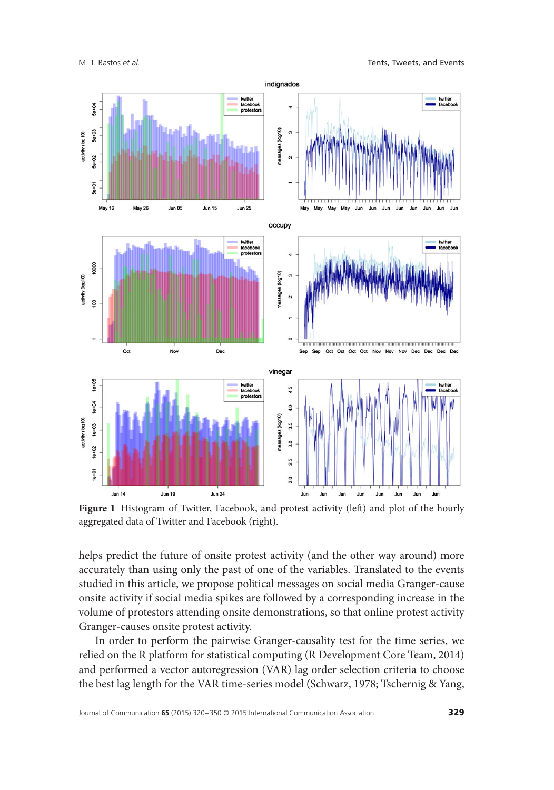

**Figure 1** Histogram of Twitter, Facebook, and protest activity (left) and plot of the hourly aggregated data of Twitter and Facebook (right).

helps predict the future of onsite protest activity (and the other way around) more accurately than using only the past of one of the variables. Translated to the events studied in this article, we propose political messages on social media Granger-cause onsite activity if social media spikes are followed by a corresponding increase in the volume of protestors attending onsite demonstrations, so that online protest activity Granger-causes onsite protest activity.

In order to perform the pairwise Granger-causality test for the time series, we relied on the R platform for statistical computing (R Development Core Team, 2014) and performed a vector autoregression (VAR) lag order selection criteria to choose the best lag length for the VAR time-series model (Schwarz, 1978; Tschernig & Yang,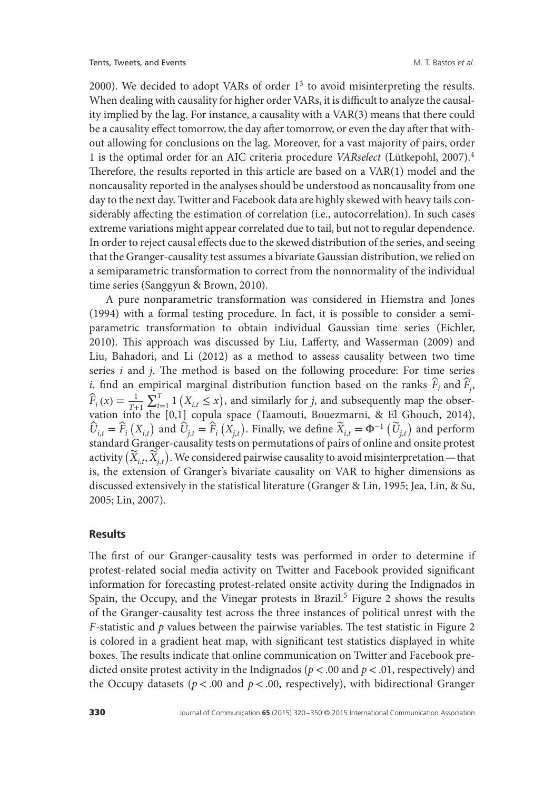2000). We decided to adopt VARs of order  $1<sup>3</sup>$  to avoid misinterpreting the results. When dealing with causality for higher order VARs, it is difficult to analyze the causality implied by the lag. For instance, a causality with a VAR(3) means that there could be a causality effect tomorrow, the day after tomorrow, or even the day after that without allowing for conclusions on the lag. Moreover, for a vast majority of pairs, order 1 is the optimal order for an AIC criteria procedure *VARselect* (Lütkepohl, 2007).4 Therefore, the results reported in this article are based on a VAR(1) model and the noncausality reported in the analyses should be understood as noncausality from one day to the next day. Twitter and Facebook data are highly skewed with heavy tails considerably affecting the estimation of correlation (i.e., autocorrelation). In such cases extreme variations might appear correlated due to tail, but not to regular dependence. In order to reject causal effects due to the skewed distribution of the series, and seeing that the Granger-causality test assumes a bivariate Gaussian distribution, we relied on a semiparametric transformation to correct from the nonnormality of the individual time series (Sanggyun & Brown, 2010).

A pure nonparametric transformation was considered in Hiemstra and Jones (1994) with a formal testing procedure. In fact, it is possible to consider a semiparametric transformation to obtain individual Gaussian time series (Eichler, 2010). This approach was discussed by Liu, Lafferty, and Wasserman (2009) and Liu, Bahadori, and Li (2012) as a method to assess causality between two time series *i* and *j*. The method is based on the following procedure: For time series *i*, find an empirical marginal distribution function based on the ranks  $\hat{F}_i$  and  $\hat{F}_j$ ,  $\hat{F}_i(x) = \frac{1}{T+1} \sum_{t=1}^T \left( X_{i,t} \leq x \right)$ , and similarly for *j*, and subsequently map the observation into the [0,1] copula space (Taamouti, Bouezmarni, & El Ghouch, 2014),  $\hat{U}_{i,t} = \hat{F}_i(X_{i,t})$  and  $\hat{U}_{j,t} = \hat{F}_i(X_{j,t})$ . Finally, we define  $\tilde{X}_{i,t} = \Phi^{-1}(\tilde{U}_{j,t})$  and perform standard Granger-causality tests on permutations of pairs of online and onsite protest activity  $(\widetilde{X}_{i,t}, \widetilde{X}_{j,t})$ . We considered pairwise causality to avoid misinterpretation—that is, the extension of Granger's bivariate causality on VAR to higher dimensions as discussed extensively in the statistical literature (Granger & Lin, 1995; Jea, Lin, & Su, 2005; Lin, 2007).

## **Results**

The first of our Granger-causality tests was performed in order to determine if protest-related social media activity on Twitter and Facebook provided significant information for forecasting protest-related onsite activity during the Indignados in Spain, the Occupy, and the Vinegar protests in Brazil.<sup>5</sup> Figure 2 shows the results of the Granger-causality test across the three instances of political unrest with the *F*-statistic and *p* values between the pairwise variables. The test statistic in Figure 2 is colored in a gradient heat map, with significant test statistics displayed in white boxes. The results indicate that online communication on Twitter and Facebook predicted onsite protest activity in the Indignados (*p<*.00 and *p<*.01, respectively) and the Occupy datasets ( $p$ <.00 and  $p$ <.00, respectively), with bidirectional Granger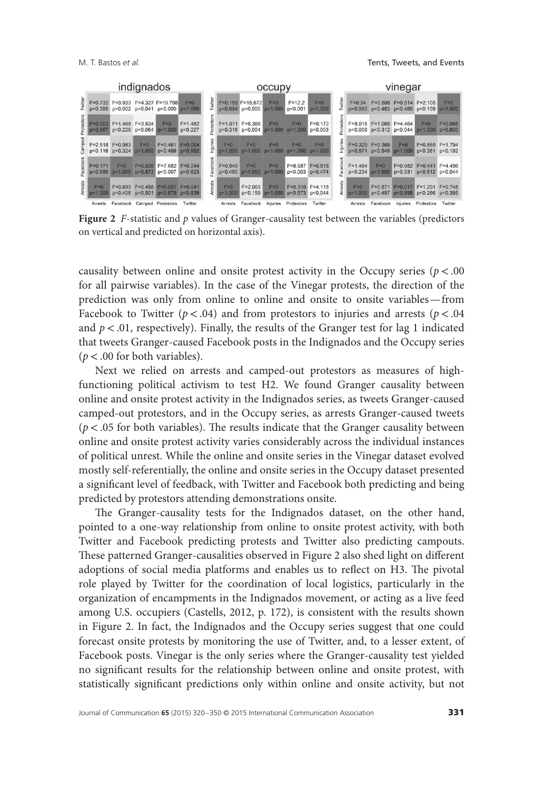

**Figure 2** *F*-statistic and *p* values of Granger-causality test between the variables (predictors on vertical and predicted on horizontal axis).

causality between online and onsite protest activity in the Occupy series (*p<*.00 for all pairwise variables). In the case of the Vinegar protests, the direction of the prediction was only from online to online and onsite to onsite variables—from Facebook to Twitter ( $p < .04$ ) and from protestors to injuries and arrests ( $p < .04$ ) and  $p < 0.01$ , respectively). Finally, the results of the Granger test for lag 1 indicated that tweets Granger-caused Facebook posts in the Indignados and the Occupy series (*p<*.00 for both variables).

Next we relied on arrests and camped-out protestors as measures of highfunctioning political activism to test H2. We found Granger causality between online and onsite protest activity in the Indignados series, as tweets Granger-caused camped-out protestors, and in the Occupy series, as arrests Granger-caused tweets (*p<*.05 for both variables). The results indicate that the Granger causality between online and onsite protest activity varies considerably across the individual instances of political unrest. While the online and onsite series in the Vinegar dataset evolved mostly self-referentially, the online and onsite series in the Occupy dataset presented a significant level of feedback, with Twitter and Facebook both predicting and being predicted by protestors attending demonstrations onsite.

The Granger-causality tests for the Indignados dataset, on the other hand, pointed to a one-way relationship from online to onsite protest activity, with both Twitter and Facebook predicting protests and Twitter also predicting campouts. These patterned Granger-causalities observed in Figure 2 also shed light on different adoptions of social media platforms and enables us to reflect on H3. The pivotal role played by Twitter for the coordination of local logistics, particularly in the organization of encampments in the Indignados movement, or acting as a live feed among U.S. occupiers (Castells, 2012, p. 172), is consistent with the results shown in Figure 2. In fact, the Indignados and the Occupy series suggest that one could forecast onsite protests by monitoring the use of Twitter, and, to a lesser extent, of Facebook posts. Vinegar is the only series where the Granger-causality test yielded no significant results for the relationship between online and onsite protest, with statistically significant predictions only within online and onsite activity, but not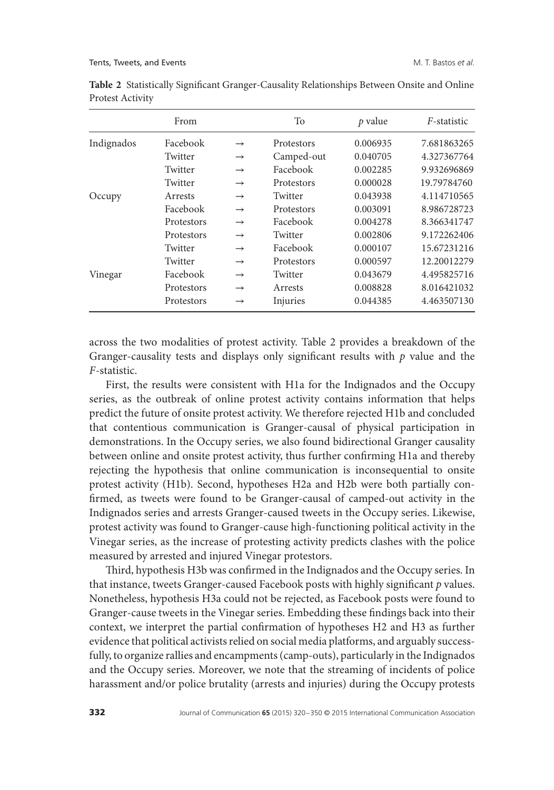|            | From       |               | To         | p value  | F-statistic |
|------------|------------|---------------|------------|----------|-------------|
| Indignados | Facebook   | $\rightarrow$ | Protestors | 0.006935 | 7.681863265 |
|            | Twitter    | $\rightarrow$ | Camped-out | 0.040705 | 4.327367764 |
|            | Twitter    | $\rightarrow$ | Facebook   | 0.002285 | 9.932696869 |
|            | Twitter    | $\rightarrow$ | Protestors | 0.000028 | 19.79784760 |
| Occupy     | Arrests    | $\rightarrow$ | Twitter    | 0.043938 | 4.114710565 |
|            | Facebook   | $\rightarrow$ | Protestors | 0.003091 | 8.986728723 |
|            | Protestors | $\rightarrow$ | Facebook   | 0.004278 | 8.366341747 |
|            | Protestors | $\rightarrow$ | Twitter    | 0.002806 | 9.172262406 |
|            | Twitter    | $\rightarrow$ | Facebook   | 0.000107 | 15.67231216 |
|            | Twitter    | $\rightarrow$ | Protestors | 0.000597 | 12.20012279 |
| Vinegar    | Facebook   | $\rightarrow$ | Twitter    | 0.043679 | 4.495825716 |
|            | Protestors | $\rightarrow$ | Arrests    | 0.008828 | 8.016421032 |
|            | Protestors | $\rightarrow$ | Injuries   | 0.044385 | 4.463507130 |

**Table 2** Statistically Significant Granger-Causality Relationships Between Onsite and Online Protest Activity

across the two modalities of protest activity. Table 2 provides a breakdown of the Granger-causality tests and displays only significant results with *p* value and the *F*-statistic.

First, the results were consistent with H1a for the Indignados and the Occupy series, as the outbreak of online protest activity contains information that helps predict the future of onsite protest activity. We therefore rejected H1b and concluded that contentious communication is Granger-causal of physical participation in demonstrations. In the Occupy series, we also found bidirectional Granger causality between online and onsite protest activity, thus further confirming H1a and thereby rejecting the hypothesis that online communication is inconsequential to onsite protest activity (H1b). Second, hypotheses H2a and H2b were both partially confirmed, as tweets were found to be Granger-causal of camped-out activity in the Indignados series and arrests Granger-caused tweets in the Occupy series. Likewise, protest activity was found to Granger-cause high-functioning political activity in the Vinegar series, as the increase of protesting activity predicts clashes with the police measured by arrested and injured Vinegar protestors.

Third, hypothesis H3b was confirmed in the Indignados and the Occupy series. In that instance, tweets Granger-caused Facebook posts with highly significant *p* values. Nonetheless, hypothesis H3a could not be rejected, as Facebook posts were found to Granger-cause tweets in the Vinegar series. Embedding these findings back into their context, we interpret the partial confirmation of hypotheses H2 and H3 as further evidence that political activists relied on social media platforms, and arguably successfully, to organize rallies and encampments (camp-outs), particularly in the Indignados and the Occupy series. Moreover, we note that the streaming of incidents of police harassment and/or police brutality (arrests and injuries) during the Occupy protests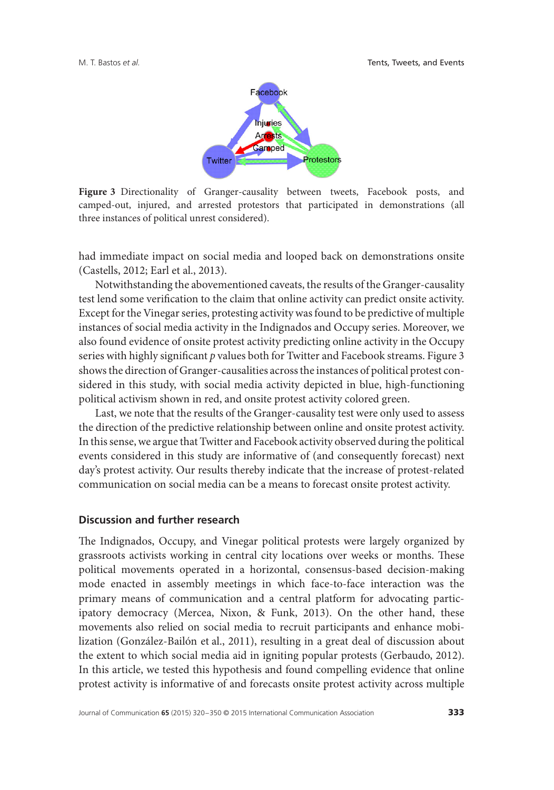

**Figure 3** Directionality of Granger-causality between tweets, Facebook posts, and camped-out, injured, and arrested protestors that participated in demonstrations (all three instances of political unrest considered).

had immediate impact on social media and looped back on demonstrations onsite (Castells, 2012; Earl et al., 2013).

Notwithstanding the abovementioned caveats, the results of the Granger-causality test lend some verification to the claim that online activity can predict onsite activity. Except for the Vinegar series, protesting activity was found to be predictive of multiple instances of social media activity in the Indignados and Occupy series. Moreover, we also found evidence of onsite protest activity predicting online activity in the Occupy series with highly significant *p* values both for Twitter and Facebook streams. Figure 3 shows the direction of Granger-causalities across the instances of political protest considered in this study, with social media activity depicted in blue, high-functioning political activism shown in red, and onsite protest activity colored green.

Last, we note that the results of the Granger-causality test were only used to assess the direction of the predictive relationship between online and onsite protest activity. In this sense, we argue that Twitter and Facebook activity observed during the political events considered in this study are informative of (and consequently forecast) next day's protest activity. Our results thereby indicate that the increase of protest-related communication on social media can be a means to forecast onsite protest activity.

# **Discussion and further research**

The Indignados, Occupy, and Vinegar political protests were largely organized by grassroots activists working in central city locations over weeks or months. These political movements operated in a horizontal, consensus-based decision-making mode enacted in assembly meetings in which face-to-face interaction was the primary means of communication and a central platform for advocating participatory democracy (Mercea, Nixon, & Funk, 2013). On the other hand, these movements also relied on social media to recruit participants and enhance mobilization (González-Bailón et al., 2011), resulting in a great deal of discussion about the extent to which social media aid in igniting popular protests (Gerbaudo, 2012). In this article, we tested this hypothesis and found compelling evidence that online protest activity is informative of and forecasts onsite protest activity across multiple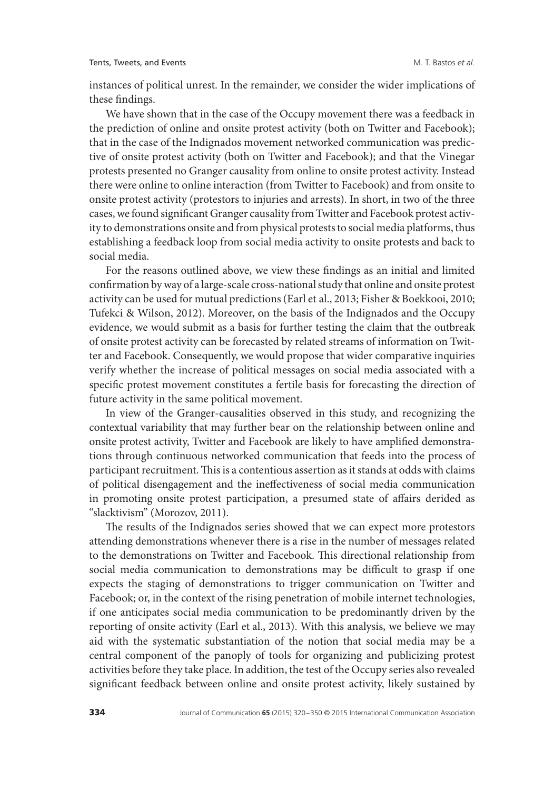instances of political unrest. In the remainder, we consider the wider implications of these findings.

We have shown that in the case of the Occupy movement there was a feedback in the prediction of online and onsite protest activity (both on Twitter and Facebook); that in the case of the Indignados movement networked communication was predictive of onsite protest activity (both on Twitter and Facebook); and that the Vinegar protests presented no Granger causality from online to onsite protest activity. Instead there were online to online interaction (from Twitter to Facebook) and from onsite to onsite protest activity (protestors to injuries and arrests). In short, in two of the three cases, we found significant Granger causality from Twitter and Facebook protest activity to demonstrations onsite and from physical protests to social media platforms, thus establishing a feedback loop from social media activity to onsite protests and back to social media.

For the reasons outlined above, we view these findings as an initial and limited confirmation by way of a large-scale cross-national study that online and onsite protest activity can be used for mutual predictions (Earl et al., 2013; Fisher & Boekkooi, 2010; Tufekci & Wilson, 2012). Moreover, on the basis of the Indignados and the Occupy evidence, we would submit as a basis for further testing the claim that the outbreak of onsite protest activity can be forecasted by related streams of information on Twitter and Facebook. Consequently, we would propose that wider comparative inquiries verify whether the increase of political messages on social media associated with a specific protest movement constitutes a fertile basis for forecasting the direction of future activity in the same political movement.

In view of the Granger-causalities observed in this study, and recognizing the contextual variability that may further bear on the relationship between online and onsite protest activity, Twitter and Facebook are likely to have amplified demonstrations through continuous networked communication that feeds into the process of participant recruitment.This is a contentious assertion as it stands at odds with claims of political disengagement and the ineffectiveness of social media communication in promoting onsite protest participation, a presumed state of affairs derided as "slacktivism" (Morozov, 2011).

The results of the Indignados series showed that we can expect more protestors attending demonstrations whenever there is a rise in the number of messages related to the demonstrations on Twitter and Facebook. This directional relationship from social media communication to demonstrations may be difficult to grasp if one expects the staging of demonstrations to trigger communication on Twitter and Facebook; or, in the context of the rising penetration of mobile internet technologies, if one anticipates social media communication to be predominantly driven by the reporting of onsite activity (Earl et al., 2013). With this analysis, we believe we may aid with the systematic substantiation of the notion that social media may be a central component of the panoply of tools for organizing and publicizing protest activities before they take place. In addition, the test of the Occupy series also revealed significant feedback between online and onsite protest activity, likely sustained by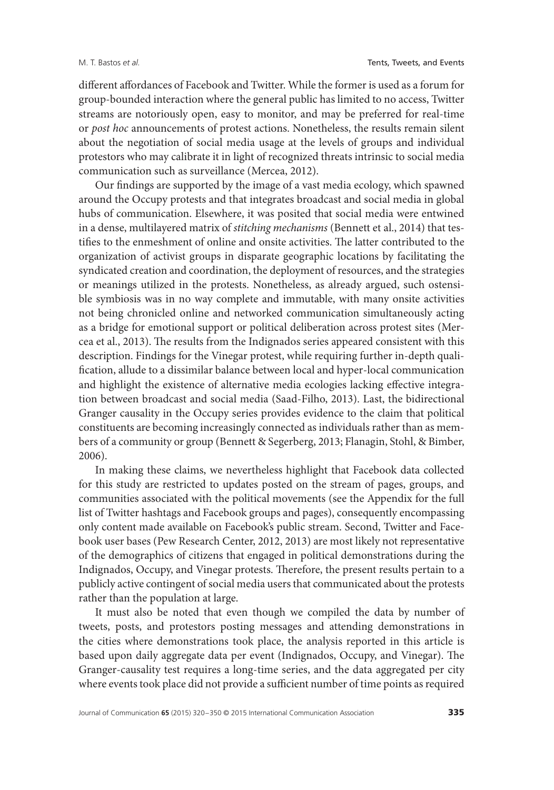different affordances of Facebook and Twitter. While the former is used as a forum for group-bounded interaction where the general public has limited to no access, Twitter streams are notoriously open, easy to monitor, and may be preferred for real-time or *post hoc* announcements of protest actions. Nonetheless, the results remain silent about the negotiation of social media usage at the levels of groups and individual protestors who may calibrate it in light of recognized threats intrinsic to social media communication such as surveillance (Mercea, 2012).

Our findings are supported by the image of a vast media ecology, which spawned around the Occupy protests and that integrates broadcast and social media in global hubs of communication. Elsewhere, it was posited that social media were entwined in a dense, multilayered matrix of *stitching mechanisms* (Bennett et al., 2014) that testifies to the enmeshment of online and onsite activities. The latter contributed to the organization of activist groups in disparate geographic locations by facilitating the syndicated creation and coordination, the deployment of resources, and the strategies or meanings utilized in the protests. Nonetheless, as already argued, such ostensible symbiosis was in no way complete and immutable, with many onsite activities not being chronicled online and networked communication simultaneously acting as a bridge for emotional support or political deliberation across protest sites (Mercea et al., 2013). The results from the Indignados series appeared consistent with this description. Findings for the Vinegar protest, while requiring further in-depth qualification, allude to a dissimilar balance between local and hyper-local communication and highlight the existence of alternative media ecologies lacking effective integration between broadcast and social media (Saad-Filho, 2013). Last, the bidirectional Granger causality in the Occupy series provides evidence to the claim that political constituents are becoming increasingly connected as individuals rather than as members of a community or group (Bennett & Segerberg, 2013; Flanagin, Stohl, & Bimber, 2006).

In making these claims, we nevertheless highlight that Facebook data collected for this study are restricted to updates posted on the stream of pages, groups, and communities associated with the political movements (see the Appendix for the full list of Twitter hashtags and Facebook groups and pages), consequently encompassing only content made available on Facebook's public stream. Second, Twitter and Facebook user bases (Pew Research Center, 2012, 2013) are most likely not representative of the demographics of citizens that engaged in political demonstrations during the Indignados, Occupy, and Vinegar protests. Therefore, the present results pertain to a publicly active contingent of social media users that communicated about the protests rather than the population at large.

It must also be noted that even though we compiled the data by number of tweets, posts, and protestors posting messages and attending demonstrations in the cities where demonstrations took place, the analysis reported in this article is based upon daily aggregate data per event (Indignados, Occupy, and Vinegar). The Granger-causality test requires a long-time series, and the data aggregated per city where events took place did not provide a sufficient number of time points as required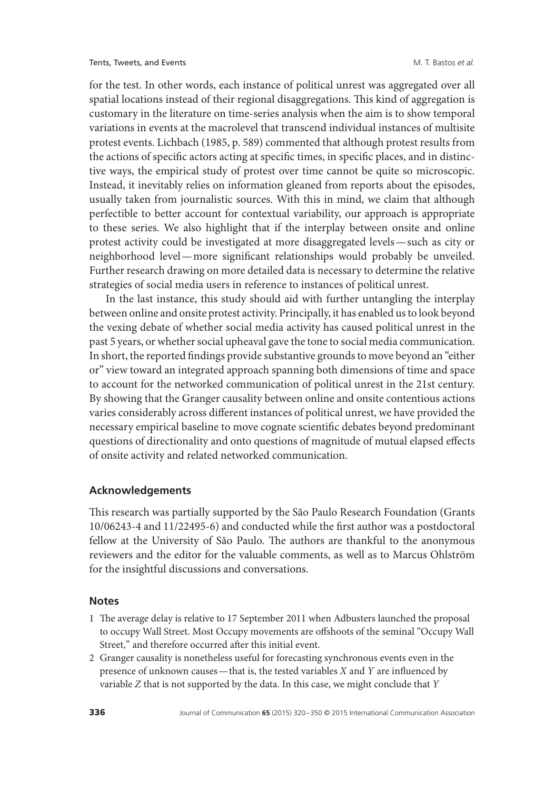for the test. In other words, each instance of political unrest was aggregated over all spatial locations instead of their regional disaggregations. This kind of aggregation is customary in the literature on time-series analysis when the aim is to show temporal variations in events at the macrolevel that transcend individual instances of multisite protest events. Lichbach (1985, p. 589) commented that although protest results from the actions of specific actors acting at specific times, in specific places, and in distinctive ways, the empirical study of protest over time cannot be quite so microscopic. Instead, it inevitably relies on information gleaned from reports about the episodes, usually taken from journalistic sources. With this in mind, we claim that although perfectible to better account for contextual variability, our approach is appropriate to these series. We also highlight that if the interplay between onsite and online protest activity could be investigated at more disaggregated levels—such as city or neighborhood level—more significant relationships would probably be unveiled. Further research drawing on more detailed data is necessary to determine the relative strategies of social media users in reference to instances of political unrest.

In the last instance, this study should aid with further untangling the interplay between online and onsite protest activity. Principally, it has enabled us to look beyond the vexing debate of whether social media activity has caused political unrest in the past 5 years, or whether social upheaval gave the tone to social media communication. In short, the reported findings provide substantive grounds to move beyond an "either or" view toward an integrated approach spanning both dimensions of time and space to account for the networked communication of political unrest in the 21st century. By showing that the Granger causality between online and onsite contentious actions varies considerably across different instances of political unrest, we have provided the necessary empirical baseline to move cognate scientific debates beyond predominant questions of directionality and onto questions of magnitude of mutual elapsed effects of onsite activity and related networked communication.

# **Acknowledgements**

This research was partially supported by the São Paulo Research Foundation (Grants 10/06243-4 and 11/22495-6) and conducted while the first author was a postdoctoral fellow at the University of São Paulo. The authors are thankful to the anonymous reviewers and the editor for the valuable comments, as well as to Marcus Ohlström for the insightful discussions and conversations.

#### **Notes**

- 1 The average delay is relative to 17 September 2011 when Adbusters launched the proposal to occupy Wall Street. Most Occupy movements are offshoots of the seminal "Occupy Wall Street," and therefore occurred after this initial event.
- 2 Granger causality is nonetheless useful for forecasting synchronous events even in the presence of unknown causes— that is, the tested variables *X* and *Y* are influenced by variable *Z* that is not supported by the data. In this case, we might conclude that *Y*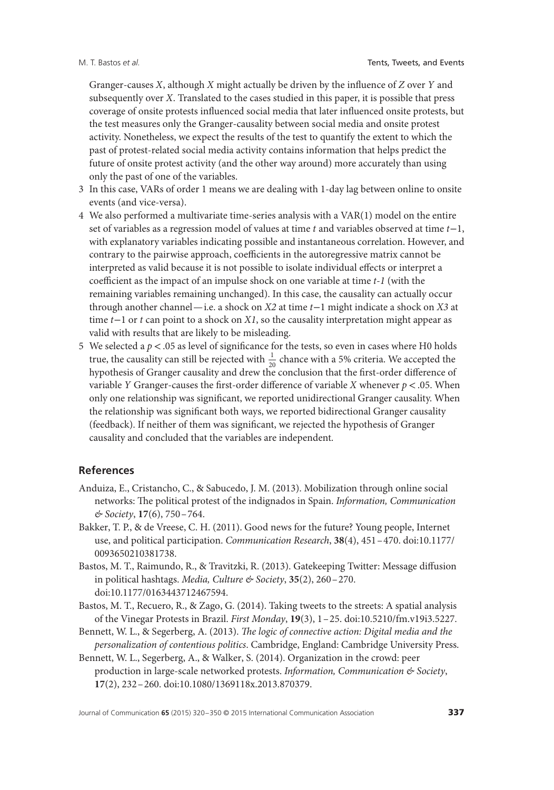Granger-causes *X*, although *X* might actually be driven by the influence of *Z* over *Y* and subsequently over *X*. Translated to the cases studied in this paper, it is possible that press coverage of onsite protests influenced social media that later influenced onsite protests, but the test measures only the Granger-causality between social media and onsite protest activity. Nonetheless, we expect the results of the test to quantify the extent to which the past of protest-related social media activity contains information that helps predict the future of onsite protest activity (and the other way around) more accurately than using only the past of one of the variables.

- 3 In this case, VARs of order 1 means we are dealing with 1-day lag between online to onsite events (and vice-versa).
- 4 We also performed a multivariate time-series analysis with a VAR(1) model on the entire set of variables as a regression model of values at time *t* and variables observed at time *t*−1, with explanatory variables indicating possible and instantaneous correlation. However, and contrary to the pairwise approach, coefficients in the autoregressive matrix cannot be interpreted as valid because it is not possible to isolate individual effects or interpret a coefficient as the impact of an impulse shock on one variable at time *t-1* (with the remaining variables remaining unchanged). In this case, the causality can actually occur through another channel—i.e. a shock on *X2* at time *t*−1 might indicate a shock on *X3* at time *t*−1 or *t* can point to a shock on *X1*, so the causality interpretation might appear as valid with results that are likely to be misleading.
- 5 We selected a *p<*.05 as level of significance for the tests, so even in cases where H0 holds true, the causality can still be rejected with  $\frac{1}{20}$  chance with a 5% criteria. We accepted the hypothesis of Granger causality and drew the conclusion that the first-order difference of variable *Y* Granger-causes the first-order difference of variable *X* whenever *p<*.05. When only one relationship was significant, we reported unidirectional Granger causality. When the relationship was significant both ways, we reported bidirectional Granger causality (feedback). If neither of them was significant, we rejected the hypothesis of Granger causality and concluded that the variables are independent.

# **References**

- Anduiza, E., Cristancho, C., & Sabucedo, J. M. (2013). Mobilization through online social networks: The political protest of the indignados in Spain. *Information, Communication & Society*, **17**(6), 750–764.
- Bakker, T. P., & de Vreese, C. H. (2011). Good news for the future? Young people, Internet use, and political participation. *Communication Research*, **38**(4), 451–470. doi:10.1177/ 0093650210381738.
- Bastos, M. T., Raimundo, R., & Travitzki, R. (2013). Gatekeeping Twitter: Message diffusion in political hashtags. *Media, Culture & Society*, **35**(2), 260–270. doi:10.1177/0163443712467594.
- Bastos, M. T., Recuero, R., & Zago, G. (2014). Taking tweets to the streets: A spatial analysis of the Vinegar Protests in Brazil. *First Monday*, **19**(3), 1–25. doi:10.5210/fm.v19i3.5227.
- Bennett, W. L., & Segerberg, A. (2013). *The logic of connective action: Digital media and the personalization of contentious politics*. Cambridge, England: Cambridge University Press.
- Bennett, W. L., Segerberg, A., & Walker, S. (2014). Organization in the crowd: peer production in large-scale networked protests. *Information, Communication & Society*, **17**(2), 232–260. doi:10.1080/1369118x.2013.870379.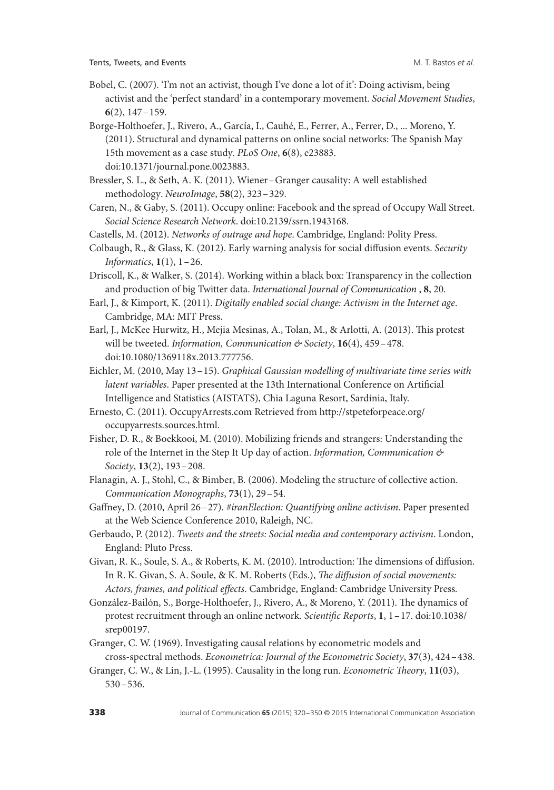- Bobel, C. (2007). 'I'm not an activist, though I've done a lot of it': Doing activism, being activist and the 'perfect standard' in a contemporary movement. *Social Movement Studies*, **6**(2), 147–159.
- Borge-Holthoefer, J., Rivero, A., García, I., Cauhé, E., Ferrer, A., Ferrer, D., ... Moreno, Y. (2011). Structural and dynamical patterns on online social networks: The Spanish May 15th movement as a case study. *PLoS One*, **6**(8), e23883. doi:10.1371/journal.pone.0023883.
- Bressler, S. L., & Seth, A. K. (2011). Wiener–Granger causality: A well established methodology. *NeuroImage*, **58**(2), 323–329.
- Caren, N., & Gaby, S. (2011). Occupy online: Facebook and the spread of Occupy Wall Street. *Social Science Research Network*. doi:10.2139/ssrn.1943168.
- Castells, M. (2012). *Networks of outrage and hope*. Cambridge, England: Polity Press.
- Colbaugh, R., & Glass, K. (2012). Early warning analysis for social diffusion events. *Security Informatics*, **1**(1), 1–26.
- Driscoll, K., & Walker, S. (2014). Working within a black box: Transparency in the collection and production of big Twitter data. *International Journal of Communication* , **8**, 20.
- Earl, J., & Kimport, K. (2011). *Digitally enabled social change: Activism in the Internet age*. Cambridge, MA: MIT Press.
- Earl, J., McKee Hurwitz, H., Mejia Mesinas, A., Tolan, M., & Arlotti, A. (2013). This protest will be tweeted. *Information, Communication & Society*, **16**(4), 459–478. doi:10.1080/1369118x.2013.777756.
- Eichler, M. (2010, May 13–15). *Graphical Gaussian modelling of multivariate time series with latent variables*. Paper presented at the 13th International Conference on Artificial Intelligence and Statistics (AISTATS), Chia Laguna Resort, Sardinia, Italy.
- Ernesto, C. (2011). OccupyArrests.com Retrieved from http://stpeteforpeace.org/ occupyarrests.sources.html.
- Fisher, D. R., & Boekkooi, M. (2010). Mobilizing friends and strangers: Understanding the role of the Internet in the Step It Up day of action. *Information, Communication & Society*, **13**(2), 193–208.
- Flanagin, A. J., Stohl, C., & Bimber, B. (2006). Modeling the structure of collective action. *Communication Monographs*, **73**(1), 29–54.
- Gaffney, D. (2010, April 26–27). *#iranElection: Quantifying online activism*. Paper presented at the Web Science Conference 2010, Raleigh, NC.
- Gerbaudo, P. (2012). *Tweets and the streets: Social media and contemporary activism*. London, England: Pluto Press.
- Givan, R. K., Soule, S. A., & Roberts, K. M. (2010). Introduction: The dimensions of diffusion. In R. K. Givan, S. A. Soule, & K. M. Roberts (Eds.), *The diffusion of social movements: Actors, frames, and political effects*. Cambridge, England: Cambridge University Press.
- González-Bailón, S., Borge-Holthoefer, J., Rivero, A., & Moreno, Y. (2011). The dynamics of protest recruitment through an online network. *Scientific Reports*, **1**, 1–17. doi:10.1038/ srep00197.
- Granger, C. W. (1969). Investigating causal relations by econometric models and cross-spectral methods. *Econometrica: Journal of the Econometric Society*, **37**(3), 424–438.
- Granger, C. W., & Lin, J.-L. (1995). Causality in the long run. *Econometric Theory*, **11**(03), 530–536.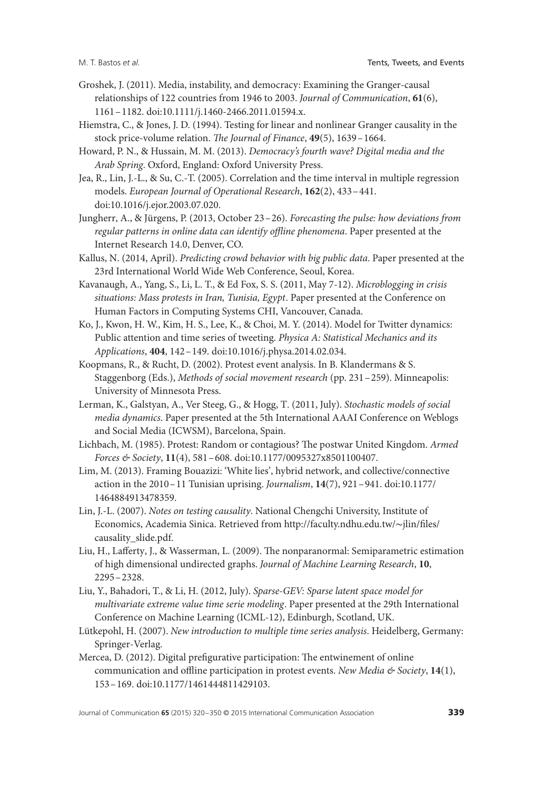- Groshek, J. (2011). Media, instability, and democracy: Examining the Granger-causal relationships of 122 countries from 1946 to 2003. *Journal of Communication*, **61**(6), 1161–1182. doi:10.1111/j.1460-2466.2011.01594.x.
- Hiemstra, C., & Jones, J. D. (1994). Testing for linear and nonlinear Granger causality in the stock price-volume relation. *The Journal of Finance*, **49**(5), 1639–1664.
- Howard, P. N., & Hussain, M. M. (2013). *Democracy's fourth wave? Digital media and the Arab Spring*. Oxford, England: Oxford University Press.
- Jea, R., Lin, J.-L., & Su, C.-T. (2005). Correlation and the time interval in multiple regression models. *European Journal of Operational Research*, **162**(2), 433–441. doi:10.1016/j.ejor.2003.07.020.
- Jungherr, A., & Jürgens, P. (2013, October 23–26). *Forecasting the pulse: how deviations from regular patterns in online data can identify offline phenomena*. Paper presented at the Internet Research 14.0, Denver, CO.
- Kallus, N. (2014, April). *Predicting crowd behavior with big public data*. Paper presented at the 23rd International World Wide Web Conference, Seoul, Korea.
- Kavanaugh, A., Yang, S., Li, L. T., & Ed Fox, S. S. (2011, May 7-12). *Microblogging in crisis situations: Mass protests in Iran, Tunisia, Egypt*. Paper presented at the Conference on Human Factors in Computing Systems CHI, Vancouver, Canada.
- Ko, J., Kwon, H. W., Kim, H. S., Lee, K., & Choi, M. Y. (2014). Model for Twitter dynamics: Public attention and time series of tweeting. *Physica A: Statistical Mechanics and its Applications*, **404**, 142–149. doi:10.1016/j.physa.2014.02.034.
- Koopmans, R., & Rucht, D. (2002). Protest event analysis. In B. Klandermans & S. Staggenborg (Eds.), *Methods of social movement research* (pp. 231–259). Minneapolis: University of Minnesota Press.
- Lerman, K., Galstyan, A., Ver Steeg, G., & Hogg, T. (2011, July). *Stochastic models of social media dynamics*. Paper presented at the 5th International AAAI Conference on Weblogs and Social Media (ICWSM), Barcelona, Spain.
- Lichbach, M. (1985). Protest: Random or contagious? The postwar United Kingdom. *Armed Forces & Society*, **11**(4), 581–608. doi:10.1177/0095327x8501100407.
- Lim, M. (2013). Framing Bouazizi: 'White lies', hybrid network, and collective/connective action in the 2010–11 Tunisian uprising. *Journalism*, **14**(7), 921–941. doi:10.1177/ 1464884913478359.
- Lin, J.-L. (2007). *Notes on testing causality*. National Chengchi University, Institute of Economics, Academia Sinica. Retrieved from http://faculty.ndhu.edu.tw/∼jlin/files/ causality\_slide.pdf.
- Liu, H., Lafferty, J., & Wasserman, L. (2009). The nonparanormal: Semiparametric estimation of high dimensional undirected graphs. *Journal of Machine Learning Research*, **10**, 2295–2328.
- Liu, Y., Bahadori, T., & Li, H. (2012, July). *Sparse-GEV: Sparse latent space model for multivariate extreme value time serie modeling*. Paper presented at the 29th International Conference on Machine Learning (ICML-12), Edinburgh, Scotland, UK.
- Lütkepohl, H. (2007). *New introduction to multiple time series analysis*. Heidelberg, Germany: Springer-Verlag.
- Mercea, D. (2012). Digital prefigurative participation: The entwinement of online communication and offline participation in protest events. *New Media & Society*, **14**(1), 153–169. doi:10.1177/1461444811429103.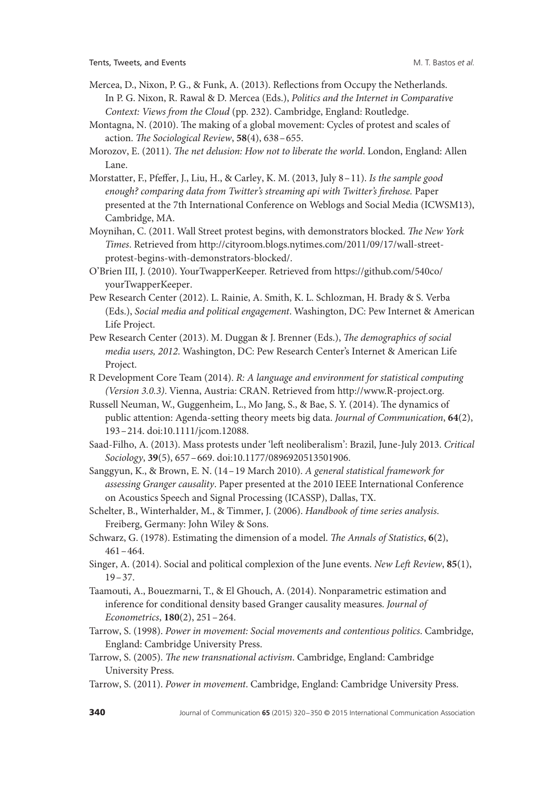- Mercea, D., Nixon, P. G., & Funk, A. (2013). Reflections from Occupy the Netherlands. In P. G. Nixon, R. Rawal & D. Mercea (Eds.), *Politics and the Internet in Comparative Context: Views from the Cloud* (pp. 232). Cambridge, England: Routledge.
- Montagna, N. (2010). The making of a global movement: Cycles of protest and scales of action. *The Sociological Review*, **58**(4), 638–655.
- Morozov, E. (2011). *The net delusion: How not to liberate the world*. London, England: Allen Lane.
- Morstatter, F., Pfeffer, J., Liu, H., & Carley, K. M. (2013, July 8–11). *Is the sample good enough? comparing data from Twitter's streaming api with Twitter's firehose.* Paper presented at the 7th International Conference on Weblogs and Social Media (ICWSM13), Cambridge, MA.
- Moynihan, C. (2011. Wall Street protest begins, with demonstrators blocked. *The New York Times*. Retrieved from http://cityroom.blogs.nytimes.com/2011/09/17/wall-streetprotest-begins-with-demonstrators-blocked/.
- O'Brien III, J. (2010). YourTwapperKeeper. Retrieved from https://github.com/540co/ yourTwapperKeeper.
- Pew Research Center (2012). L. Rainie, A. Smith, K. L. Schlozman, H. Brady & S. Verba (Eds.), *Social media and political engagement*. Washington, DC: Pew Internet & American Life Project.
- Pew Research Center (2013). M. Duggan & J. Brenner (Eds.), *The demographics of social media users, 2012*. Washington, DC: Pew Research Center's Internet & American Life Project.
- R Development Core Team (2014). *R: A language and environment for statistical computing (Version 3.0.3)*. Vienna, Austria: CRAN. Retrieved from http://www.R-project.org.
- Russell Neuman, W., Guggenheim, L., Mo Jang, S., & Bae, S. Y. (2014). The dynamics of public attention: Agenda-setting theory meets big data. *Journal of Communication*, **64**(2), 193–214. doi:10.1111/jcom.12088.
- Saad-Filho, A. (2013). Mass protests under 'left neoliberalism': Brazil, June-July 2013. *Critical Sociology*, **39**(5), 657–669. doi:10.1177/0896920513501906.
- Sanggyun, K., & Brown, E. N. (14–19 March 2010). *A general statistical framework for assessing Granger causality*. Paper presented at the 2010 IEEE International Conference on Acoustics Speech and Signal Processing (ICASSP), Dallas, TX.
- Schelter, B., Winterhalder, M., & Timmer, J. (2006). *Handbook of time series analysis*. Freiberg, Germany: John Wiley & Sons.
- Schwarz, G. (1978). Estimating the dimension of a model. *The Annals of Statistics*, **6**(2), 461–464.
- Singer, A. (2014). Social and political complexion of the June events. *New Left Review*, **85**(1), 19–37.
- Taamouti, A., Bouezmarni, T., & El Ghouch, A. (2014). Nonparametric estimation and inference for conditional density based Granger causality measures. *Journal of Econometrics*, **180**(2), 251–264.
- Tarrow, S. (1998). *Power in movement: Social movements and contentious politics*. Cambridge, England: Cambridge University Press.
- Tarrow, S. (2005). *The new transnational activism*. Cambridge, England: Cambridge University Press.
- Tarrow, S. (2011). *Power in movement*. Cambridge, England: Cambridge University Press.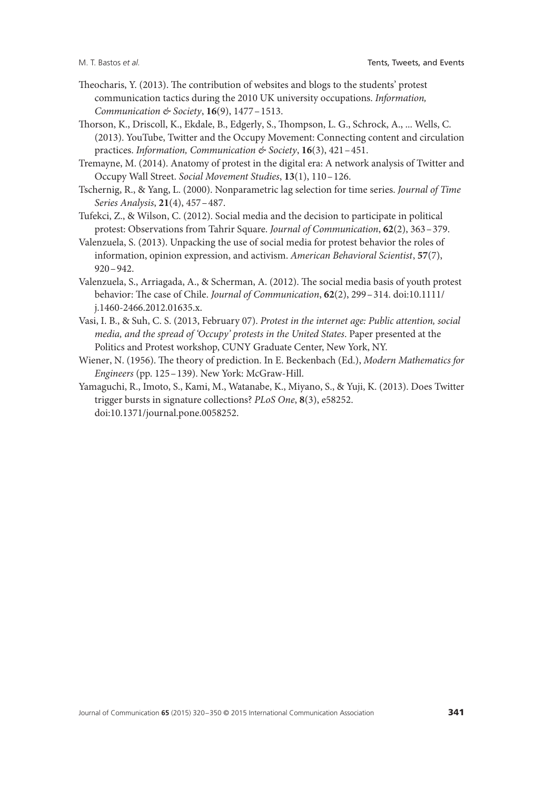- Theocharis, Y. (2013). The contribution of websites and blogs to the students' protest communication tactics during the 2010 UK university occupations. *Information, Communication & Society*, **16**(9), 1477–1513.
- Thorson, K., Driscoll, K., Ekdale, B., Edgerly, S., Thompson, L. G., Schrock, A., ... Wells, C. (2013). YouTube, Twitter and the Occupy Movement: Connecting content and circulation practices. *Information, Communication & Society*, **16**(3), 421–451.
- Tremayne, M. (2014). Anatomy of protest in the digital era: A network analysis of Twitter and Occupy Wall Street. *Social Movement Studies*, **13**(1), 110–126.
- Tschernig, R., & Yang, L. (2000). Nonparametric lag selection for time series. *Journal of Time Series Analysis*, **21**(4), 457–487.
- Tufekci, Z., & Wilson, C. (2012). Social media and the decision to participate in political protest: Observations from Tahrir Square. *Journal of Communication*, **62**(2), 363–379.
- Valenzuela, S. (2013). Unpacking the use of social media for protest behavior the roles of information, opinion expression, and activism. *American Behavioral Scientist*, **57**(7), 920–942.
- Valenzuela, S., Arriagada, A., & Scherman, A. (2012). The social media basis of youth protest behavior: The case of Chile. *Journal of Communication*, **62**(2), 299–314. doi:10.1111/ j.1460-2466.2012.01635.x.
- Vasi, I. B., & Suh, C. S. (2013, February 07). *Protest in the internet age: Public attention, social media, and the spread of 'Occupy' protests in the United States*. Paper presented at the Politics and Protest workshop, CUNY Graduate Center, New York, NY.
- Wiener, N. (1956). The theory of prediction. In E. Beckenbach (Ed.), *Modern Mathematics for Engineers* (pp. 125–139). New York: McGraw-Hill.
- Yamaguchi, R., Imoto, S., Kami, M., Watanabe, K., Miyano, S., & Yuji, K. (2013). Does Twitter trigger bursts in signature collections? *PLoS One*, **8**(3), e58252. doi:10.1371/journal.pone.0058252.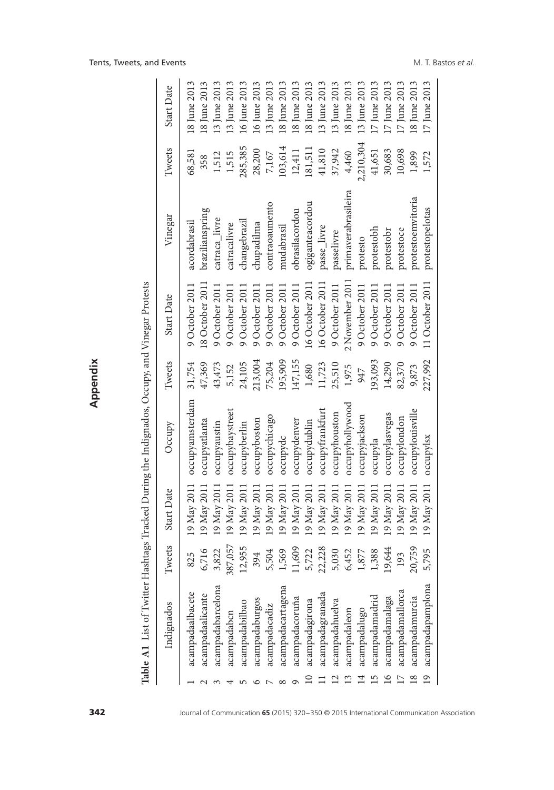**Appendix**

|                 | Table A1 List of Twitter Hashtags Tracked During the Indignados, Occupy, and Vinegar Protests |         |             |                  |         |                 |                     |           |              |
|-----------------|-----------------------------------------------------------------------------------------------|---------|-------------|------------------|---------|-----------------|---------------------|-----------|--------------|
|                 | Indignados                                                                                    | Tweets  | Start Date  | Occupy           | Tweets  | Start Date      | Vinegar             | Tweets    | Start Date   |
|                 | acampadaalbacete                                                                              | 825     | 19 May 2011 | occupyamsterdam  | 31,754  | 9 October 2011  | acordabrasil        | 68,581    | 18 June 2013 |
|                 | acampadaalicante                                                                              | 6,716   | 19 May 2011 | occupyatlanta    | 47,369  | 18 October 2011 | brazilianspring     | 358       | 18 June 2013 |
|                 | acampadabarcelona                                                                             | 3,822   | 19 May 2011 | occupyaustin     | 43,473  | 9 October 2011  | catraca_livre       | 1,512     | 13 June 2013 |
|                 | acampadabcn                                                                                   | 387,057 | 19 May 2011 | occupybaystreet  | 5,152   | 9 October 2011  | catracalivre        | 1,515     | 13 June 2013 |
|                 | acampadabilbao                                                                                | 2,955   | 19 May 2011 | occupyberlin     | 24,105  | 9 October 2011  | changebrazil        | 285,385   | 16 June 2013 |
|                 | acampadaburgos                                                                                | 394     | 9 May 2011  | occupyboston     | 213,004 | October 2011    | chupadilma          | 28,200    | 16 June 2013 |
|                 | acampadacadiz                                                                                 | 5,504   | 19 May 2011 | occupychicago    | 75,204  | 9 October 2011  | contraoaumento      | 7,167     | 13 June 2013 |
| ∞               | acampadacartagena                                                                             | 1,569   | 19 May 2011 | occupydc         | 195,909 | 9 October 2011  | mudabrasil          | 103,614   | 18 June 2013 |
|                 | acampadacoruña                                                                                | 1,609   | 19 May 2011 | occupydenver     | 147,155 | 9 October 2011  | obrasilacordou      | 12,411    | 18 June 2013 |
|                 | acampadagirona                                                                                | 5,722   | 19 May 2011 | occupydublin     | 1,680   | 16 October 2011 | ogiganteacordou     | 181,511   | 18 June 2013 |
|                 | acampadagranada                                                                               | 22,228  | 19 May 2011 | occupyfrankfurt  | 11,723  | 16 October 2011 | passe_livre         | 41,810    | 13 June 2013 |
|                 | acampadahuelva                                                                                | 5,030   | 19 May 2011 | occupyhouston    | 25,510  | 9 October 2011  | passelivre          | 37,942    | 13 June 2013 |
|                 | acampadaleon                                                                                  | 5,452   | 19 May 2011 | occupyhollywood  | 1,975   | 2 November 201  | primaverabrasileira | 4,460     | 18 June 2013 |
| $\overline{14}$ | acampadalugo                                                                                  | 1,877   | 19 May 2011 | occupyjackson    | 947     | 9 October 2011  | protesto            | 2,210,304 | 13 June 2013 |
| $\overline{5}$  | acampadamadrid                                                                                | 1,388   | 19 May 2011 | occupyla         | 193,093 | 9 October 2011  | protestobh          | 41,651    | 17 June 2013 |
| $\overline{16}$ | acampadamalaga                                                                                | 9,644   | 19 May 2011 | occupylasvegas   | 14,290  | 9 October 2011  | protestobr          | 30,683    | 17 June 2013 |
| $\overline{17}$ | acampadamallorca                                                                              | 193     | 19 May 2011 | occupylondon     | 82,370  | 9 October 2011  | protestoce          | 10,698    | 17 June 2013 |
| $\overline{18}$ | acampadamurcia                                                                                | 20,759  | 19 May 2011 | occupylouisville | 9,873   | 9 October 2011  | protestoemvitoria   | 1,899     | 18 June 2013 |
| $\overline{19}$ | acampadapamplona                                                                              | 5,795   | 19 May 2011 | occupylsx        | 227,992 | 11 October 2011 | protestopelotas     | 1,572     | 17 June 2013 |
|                 |                                                                                               |         |             |                  |         |                 |                     |           |              |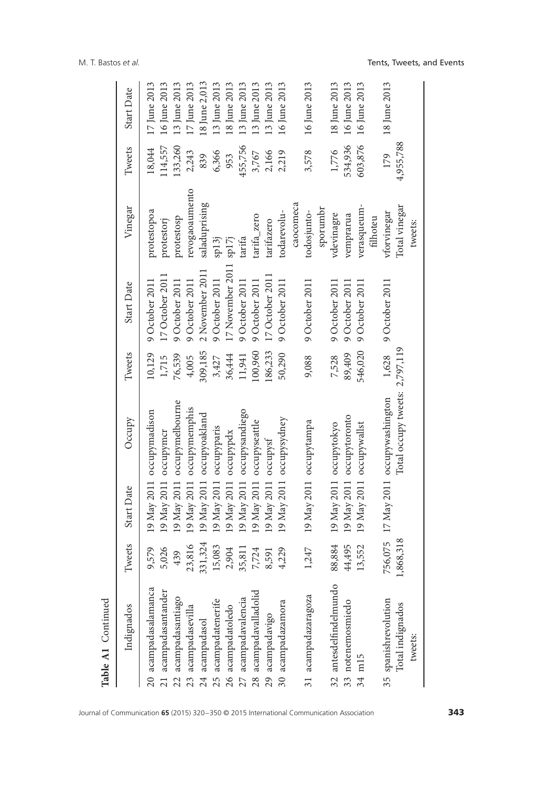| Table A1 Continued                                           |          |                       |                                      |         |                  |                          |           |               |
|--------------------------------------------------------------|----------|-----------------------|--------------------------------------|---------|------------------|--------------------------|-----------|---------------|
| Indignados                                                   | Tweets   | Start Date            | Occupy                               | Tweets  | Start Date       | Vinegar                  | Tweets    | Start Date    |
| 20 acampadasalamanca                                         | 9,579    |                       | 19 May 2011 occupymadison            | 10,129  | 9 October 2011   | protestopoa              | 18,044    | 17 June 2013  |
|                                                              | 5,026    | 19 May 2011 occupymcr |                                      | 1,715   | 17 October 2011  | protestorj               | 114,557   | 16 June 2013  |
| $21\ \text{acampada}santander\\ 22\ \text{acampada}santiago$ | 439      |                       | 19 May 2011 occupymelbourne          | 76,539  | 9 October 2011   | protestosp               | 133,260   | 13 June 2013  |
| 23 acampadasevilla                                           | 23,816   |                       | 19 May 2011 occupymemphis            | 4,005   | 9 October 2011   | revogaoaumento           | 2,243     | 17 June 2013  |
| $24\,$ acampadasol                                           | 331,324  |                       | 19 May 2011 occupyoakland            | 309,185 | 2 November 2011  | saladuprising            | 839       | 18 June 2,013 |
| 25 acampadatenerife                                          | 15,083   |                       | 19 May 2011 occupyparis              | 3,427   | 9 October 2011   | sp13j                    | 6,366     | 13 June 2013  |
| 26 acampadatoledo                                            | 2,904    | 19 May 2011 occupypdx |                                      | 36,444  | 17 November 2011 | sp17j                    | 953       | 18 June 2013  |
| 27 acampadavalencia                                          | 35,811   |                       | 19 May 2011 occupysandiego           | 11,941  | 9 October 2011   | tarifa                   | 455,756   | 13 June 2013  |
| 28 acampadavalladolid                                        | 7,724    |                       | 19 May 2011 occupyseattle            | 100,960 | 9 October 2011   | tarifa_zero              | 3,767     | 13 June 2013  |
| 29 acampadavigo                                              | 8,591    | 19 May 2011           | occupysf                             | 186,233 | 17 October 2011  | tarifazero               | 2,166     | 13 June 2013  |
| 30 acampadazamora                                            | 4,229    |                       | 19 May 2011 occupysydney             | 50,290  | 9 October 2011   | todarevolu-              | 2,219     | 16 June 2013  |
|                                                              |          |                       |                                      |         |                  | caocomeca                |           |               |
| 31 acampadazaragoza                                          | 1,247    |                       | 19 May 2011 occupytampa              | 9,088   | 9 October 2011   | todosjunto-              | 3,578     | 16 June 2013  |
|                                                              |          |                       |                                      |         |                  | sporumbr                 |           |               |
| $32\,$ antesdelfindelmundo $33\,$ notenemosmiedo             | 88,884   |                       | 19 May 2011 occupytokyo              | 7,528   | 9 October 2011   | vdevinagre               | 1,776     | 18 June 2013  |
|                                                              | 44,495   |                       | 19 May 2011 occupytoronto            | 89,409  | 9 October 2011   | vemprarua                | 534,936   | 16 June 2013  |
| 34 m15                                                       | 13,552   |                       | 19 May 2011 occupywallst             | 546,020 | 9 October 2011   | verasqueum<br>filhoteu   | 603,876   | 16 June 2013  |
| 35 spanishrevolution                                         |          |                       | 756,075 17 May 2011 occupywashington | 1,628   | 9 October 2011   | vforvinegar              | 179       | 18 June 2013  |
| Total indignados<br>tweets:                                  | ,868,318 |                       | Total occupy tweets: 2,797,119       |         |                  | Total vinegar<br>tweets: | 4,955,788 |               |
|                                                              |          |                       |                                      |         |                  |                          |           |               |

M. T. Bastos et al. **The state of all and Events** of Tents, Tweets, and Events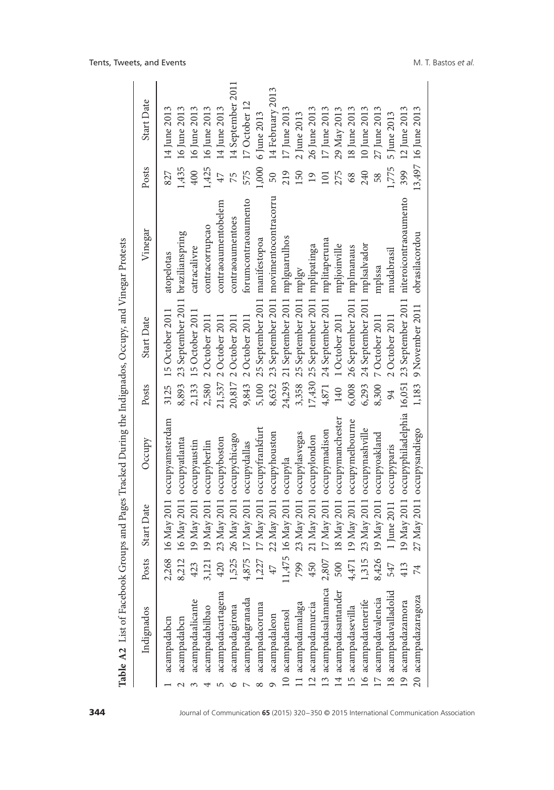| Table A2 List of Facebook Groups and Pages Tracked During the Indignados, Occupy, and Vinegar Protests |          |                            |                                  |       |                                      |                                                                               |                 |                     |
|--------------------------------------------------------------------------------------------------------|----------|----------------------------|----------------------------------|-------|--------------------------------------|-------------------------------------------------------------------------------|-----------------|---------------------|
| Indignados                                                                                             | Posts    | Start Date                 | Occupy                           | Posts | Start Date                           | Vinegar                                                                       | Posts           | Start Date          |
| acampadabcn                                                                                            |          |                            | ,268 16 May 2011 occupyamsterdam |       | 3125 15 October 2011                 | atopelotas                                                                    | 827             | 14 June 2013        |
| acampadabcn                                                                                            | 212<br>∞ |                            | 16 May 2011 occupyatlanta        | 8,893 | 23 September 2011 brazilianspring    |                                                                               | 1,435           | 16 June 2013        |
| acampadaalicante                                                                                       | 423      |                            | 19 May 2011 occupyaustin         | 2,133 | 15 October 2011                      | catracalivre                                                                  | 400             | 16 June 2013        |
| acampadabilbao                                                                                         | 3,121    |                            | 19 May 2011 occupyberlin         |       | 2,580 2 October 2011                 | contracorrupcao                                                               | 1,425           | 16 June 2013        |
| acampadacartagena                                                                                      | 420      |                            | 23 May 2011 occupyboston         |       | 21,537 2 October 2011                | contraoaumentobelem                                                           | 47              | 14 June 2013        |
| acampadagirona                                                                                         | 525      |                            | 26 May 2011 occupychicago        |       | 20,817 2 October 2011                | contraoaumentoes                                                              | 75              | 14 September 2011   |
| acampadagranada                                                                                        | ,875     |                            | 17 May 2011 occupydallas         | 9,843 | 2 October 2011                       | forumcontraoaumento                                                           | 575             | 17 October 12       |
| acampadacoruna                                                                                         | ,227     |                            | 17 May 2011 occupyfrankfurt      | 5,100 | 25 September 2011 manifestopoa       |                                                                               | 1,000           | 6 June 2013         |
| acampadaleon                                                                                           | 47       |                            | 22 May 2011 occupyhouston        |       |                                      | 8,632 23 September 2011 movimentocontracorru                                  | 50              | 14 February 2013    |
| 0 acampadaensol                                                                                        |          | 1,475 16 May 2011 occupyla |                                  |       | 24,293 21 September 2011             | mplguarulhos                                                                  | 219             | 17 June 2013        |
| 1 acampadamalaga                                                                                       | 799      |                            | 23 May 2011 occupylasvegas       | 3,358 | 25 September 2011                    | mplgy                                                                         | 150             | 2 June 2013         |
| .2 acampadamurcia                                                                                      | 450      |                            | 21 May 2011 occupylondon         |       | 17,430 25 September 2011             | mplipatinga                                                                   | $\overline{19}$ | 26 June 2013        |
| .3 acampadasalamanca                                                                                   | 2,807    |                            | 17 May 2011 occupymadison        | 4,871 | 24 September 2011                    | mplitaperuna                                                                  | 101             | 17 June 2013        |
| 4 acampadasantander                                                                                    | 500      |                            | 18 May 2011 occupymanchester     | 140   | 1 October 2011                       | mpljoinville                                                                  | 275             | 29 May 2013         |
| .5 acampadasevilla                                                                                     | ,471     |                            | 19 May 2011 occupymelbourne      | 6,008 | 26 September 2011                    | mplmanaus                                                                     | 68              | 18 June 2013        |
| 6 acampadatenerife                                                                                     | ,315     |                            | 23 May 2011 occupynashville      | 6,293 | 24 September 2011                    | mplsalvador                                                                   | 240             | 10 June 2013        |
| 17 acampadavalencia                                                                                    | ,426     |                            | 19 May 2011 occupyoakland        | 8,300 | 7 October 2011                       | mplssa                                                                        | 58              | 27 June 2013        |
| 8 acampadavalladolid                                                                                   | 547      | 1 June 2011 occupyparis    |                                  | 94    | 2 October 2011                       | mudabrasil                                                                    | 1,775           | 5 June 2013         |
| 9 acampadazamora                                                                                       | 413      |                            |                                  |       |                                      | 19 May 2011 occupyphiladelphia 16,051 23 September 2011 niteroicontraoaumento | 399             | 12 June 2013        |
| 20 acampadazaragoza                                                                                    | 74       |                            | 27 May 2011 occupysandiego       |       | 1,183 9 November 2011 obrasilacordou |                                                                               |                 | 13,497 16 June 2013 |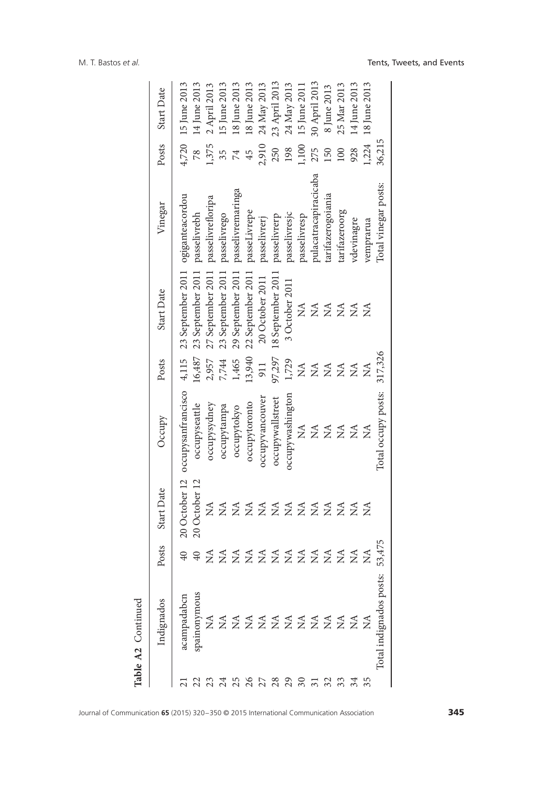|                 | Table A2 Continued      |                                   |                           |                                                            |                                |                                |                       |        |                    |
|-----------------|-------------------------|-----------------------------------|---------------------------|------------------------------------------------------------|--------------------------------|--------------------------------|-----------------------|--------|--------------------|
|                 | Indignados              | Posts                             | Start Date                | Occupy                                                     | Posts                          | Start Date                     | Vinegar               | Posts  | Start Date         |
|                 | rcampadabcn             | $\overline{40}$                   | 20 October 12             | occupysanfrancisco 4,115 23 September 2011 ogiganteacordou |                                |                                |                       |        | 4,720 15 June 2013 |
|                 | spainonymous            | $\overline{40}$                   | 20 October 12             | occupyseattle                                              | 16,487                         | 23 September 2011              | passelivrebh          | 78     | 14 June 2013       |
|                 | $\lessapprox$           | Ź                                 | ₹                         | occupysydney                                               | 2,957                          | 27 September 2011              | passelivrefloripa     | 1,375  | 2 April 2013       |
|                 |                         | $\mathop{\mathfrak{Z}}$           | $\lessapprox$             | occupytampa                                                | 7,744                          | 23 September 2011              | passelivrego          | 35     | 15 June 2013       |
| 25              |                         | $\mathop{\mathfrak{Z}}$           | $\mathop{\mathfrak{Z}}$   | occupytokyo                                                | 1,465                          | 29 September 2011              | passelivremaringa     | 74     | 18 June 2013       |
| 26              |                         | $\tilde{\mathbb{E}}$              | ₹                         | occupytoronto                                              | 13,940                         | 22 September 2011 passeLivrepe |                       | 45     | 18 June 2013       |
| 27              |                         | $\sum_{i=1}^{n}$                  | $\sum_{i=1}^{n}$          | occupyvancouver                                            | 911                            | 20 October 2011                | passelivrerj          | 2,910  | 24 May 2013        |
| 28              |                         | $\mathop{\mathfrak{Z}}\nolimits$  | $\tilde{\mathbb{E}}$      | occupywallstreet                                           | 97,297                         | 18 September 2011              | passelivrerp          | 250    | 23 April 2013      |
| 29              |                         | $\mathop{\mathfrak{Z}}\nolimits$  | $\sum_{i=1}^{n}$          | occupywashington                                           | 1,729                          | 3 October 2011                 | passelivresjc         | 198    | 24 May 2013        |
| $\approx$       |                         | $\lesssim$                        | $\lessapprox$             | $\mathbb{A}$                                               | $\stackrel{\triangle}{\simeq}$ | $\mathbb{A}$                   | passelivresp          | 1,100  | 15 June 2011       |
| $\overline{31}$ |                         | $\sum_{i=1}^{n}$                  | $\sum_{i=1}^{n}$          | Ź                                                          |                                | Ź                              | pulacatracapiracicaba | 275    | 30 April 2013      |
| 32              |                         | $\stackrel{\blacktriangle}{\geq}$ | ΧÁ                        | $\tilde{\mathbf{X}}$                                       | <b>ZZZ</b>                     | $\tilde{\ge}$                  | tarifazerogoiania     | 150    | 8 June 2013        |
| 33              |                         | $\tilde{\Sigma}$                  | $\mathop{\rm S}\nolimits$ | ź                                                          |                                | $\tilde{\mathbf{z}}$           | tarifazeroorg         | 100    | 25 Mar 2013        |
| 34              |                         | $\tilde{\mathbf{z}}$              | $\lesssim$                | $\tilde{\mathbf{X}}$                                       | $\tilde{\mathbb{E}}$           | $\mathbb{E}$                   | vdevinagre            | 928    | 14 June 2013       |
| 35              |                         | ź                                 | Ź                         | Ź                                                          | Ź                              | Ź                              | vemprarua             | 1,224  | 18 June 2013       |
|                 | lotal indignados posts: | 53,475                            |                           | Total occupy posts:                                        | 317,326                        |                                | Total vinegar posts:  | 36,215 |                    |
|                 |                         |                                   |                           |                                                            |                                |                                |                       |        |                    |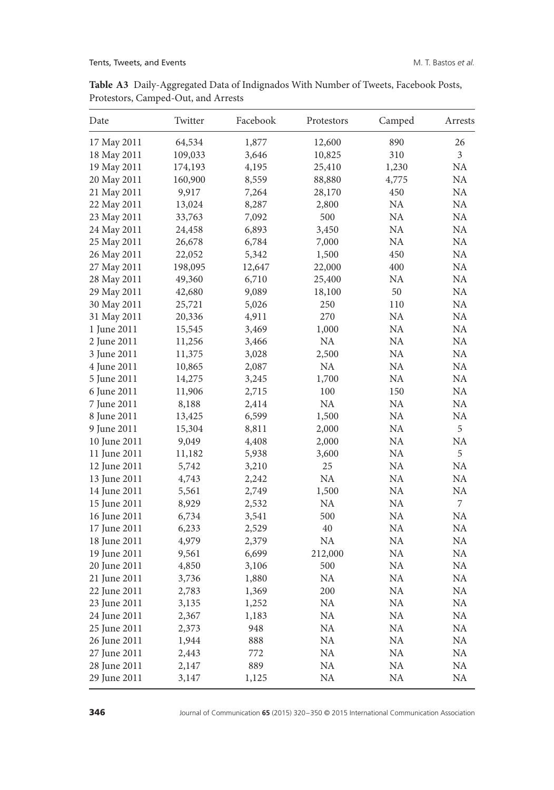| Date         | Twitter | Facebook | Protestors | Camped     | Arrests        |
|--------------|---------|----------|------------|------------|----------------|
| 17 May 2011  | 64,534  | 1,877    | 12,600     | 890        | 26             |
| 18 May 2011  | 109,033 | 3,646    | 10,825     | 310        | $\mathfrak{Z}$ |
| 19 May 2011  | 174,193 | 4,195    | 25,410     | 1,230      | NA             |
| 20 May 2011  | 160,900 | 8,559    | 88,880     | 4,775      | NA             |
| 21 May 2011  | 9,917   | 7,264    | 28,170     | 450        | $\rm NA$       |
| 22 May 2011  | 13,024  | 8,287    | 2,800      | NA         | NA             |
| 23 May 2011  | 33,763  | 7,092    | 500        | NA         | NA             |
| 24 May 2011  | 24,458  | 6,893    | 3,450      | $\rm NA$   | $\rm NA$       |
| 25 May 2011  | 26,678  | 6,784    | 7,000      | NA         | $\rm NA$       |
| 26 May 2011  | 22,052  | 5,342    | 1,500      | 450        | $\rm NA$       |
| 27 May 2011  | 198,095 | 12,647   | 22,000     | 400        | NA             |
| 28 May 2011  | 49,360  | 6,710    | 25,400     | NA         | $\rm NA$       |
| 29 May 2011  | 42,680  | 9,089    | 18,100     | 50         | NA             |
| 30 May 2011  | 25,721  | 5,026    | 250        | 110        | $\rm NA$       |
| 31 May 2011  | 20,336  | 4,911    | 270        | NA         | $\rm NA$       |
| 1 June 2011  | 15,545  | 3,469    | 1,000      | NA         | NA             |
| 2 June 2011  | 11,256  | 3,466    | NA         | $\rm NA$   | $\rm NA$       |
| 3 June 2011  | 11,375  | 3,028    | 2,500      | $\rm NA$   | NA             |
| 4 June 2011  | 10,865  | 2,087    | NA         | $\rm NA$   | ${\rm NA}$     |
| 5 June 2011  | 14,275  | 3,245    | 1,700      | $\rm NA$   | NA             |
| 6 June 2011  | 11,906  | 2,715    | 100        | 150        | NA             |
| 7 June 2011  | 8,188   | 2,414    | $\rm NA$   | $\rm NA$   | NA             |
| 8 June 2011  | 13,425  | 6,599    | 1,500      | NA         | NA             |
| 9 June 2011  | 15,304  | 8,811    | 2,000      | NA         | 5              |
| 10 June 2011 | 9,049   | 4,408    | 2,000      | NA         | NA             |
| 11 June 2011 | 11,182  | 5,938    | 3,600      | NA         | 5              |
| 12 June 2011 | 5,742   | 3,210    | 25         | NA         | NA             |
| 13 June 2011 | 4,743   | 2,242    | NA         | ${\rm NA}$ | ${\rm NA}$     |
| 14 June 2011 | 5,561   | 2,749    | 1,500      | ${\rm NA}$ | NA             |
| 15 June 2011 | 8,929   | 2,532    | <b>NA</b>  | NA         | 7              |
| 16 June 2011 | 6,734   | 3,541    | 500        | ${\rm NA}$ | $\rm NA$       |
| 17 June 2011 | 6,233   | 2,529    | 40         | ${\rm NA}$ | NA             |
| 18 June 2011 | 4,979   | 2,379    | NA         | NA         | $\rm NA$       |
| 19 June 2011 | 9,561   | 6,699    | 212,000    | NA         | ${\rm NA}$     |
| 20 June 2011 | 4,850   | 3,106    | 500        | NA         | NA             |
| 21 June 2011 | 3,736   | 1,880    | <b>NA</b>  | $\rm NA$   | NA             |
| 22 June 2011 | 2,783   | 1,369    | 200        | NA         | NA             |
| 23 June 2011 | 3,135   | 1,252    | $\rm NA$   | $\rm NA$   | $\rm NA$       |
| 24 June 2011 | 2,367   | 1,183    | NA         | NA         | NA             |
| 25 June 2011 | 2,373   | 948      | NA         | $\rm NA$   | NA             |
| 26 June 2011 | 1,944   | 888      | NA         | NA         | $\rm NA$       |
| 27 June 2011 | 2,443   | 772      | NA         | NA         | NA             |
| 28 June 2011 | 2,147   | 889      | NA         | ${\rm NA}$ | NA             |
| 29 June 2011 | 3,147   | 1,125    | NA         | NA         | <b>NA</b>      |

**Table A3** Daily-Aggregated Data of Indignados With Number of Tweets, Facebook Posts, Protestors, Camped-Out, and Arrests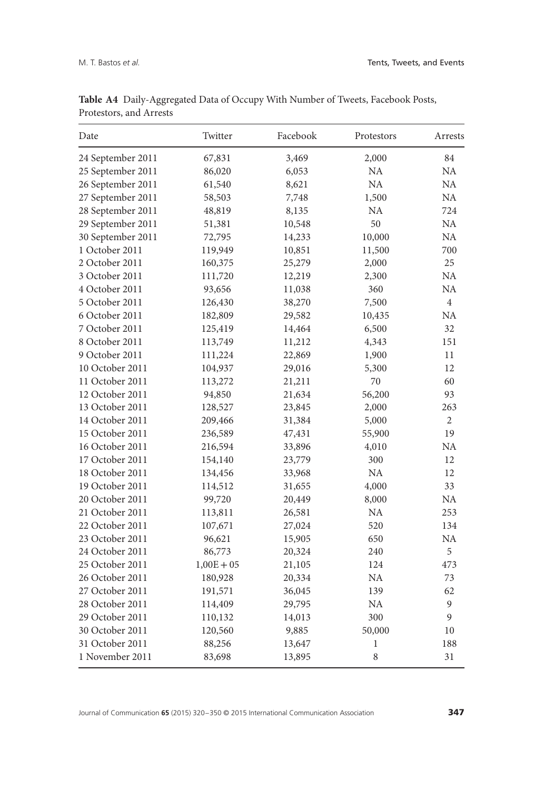| Date              | Twitter      | Facebook | Protestors | Arrests        |
|-------------------|--------------|----------|------------|----------------|
| 24 September 2011 | 67,831       | 3,469    | 2,000      | 84             |
| 25 September 2011 | 86,020       | 6,053    | <b>NA</b>  | NA             |
| 26 September 2011 | 61,540       | 8,621    | <b>NA</b>  | NA             |
| 27 September 2011 | 58,503       | 7,748    | 1,500      | NA             |
| 28 September 2011 | 48,819       | 8,135    | <b>NA</b>  | 724            |
| 29 September 2011 | 51,381       | 10,548   | 50         | NA             |
| 30 September 2011 | 72,795       | 14,233   | 10,000     | NA             |
| 1 October 2011    | 119,949      | 10,851   | 11,500     | 700            |
| 2 October 2011    | 160,375      | 25,279   | 2,000      | 25             |
| 3 October 2011    | 111,720      | 12,219   | 2,300      | NA             |
| 4 October 2011    | 93,656       | 11,038   | 360        | <b>NA</b>      |
| 5 October 2011    | 126,430      | 38,270   | 7,500      | $\overline{4}$ |
| 6 October 2011    | 182,809      | 29,582   | 10,435     | <b>NA</b>      |
| 7 October 2011    | 125,419      | 14,464   | 6,500      | 32             |
| 8 October 2011    | 113,749      | 11,212   | 4,343      | 151            |
| 9 October 2011    | 111,224      | 22,869   | 1,900      | 11             |
| 10 October 2011   | 104,937      | 29,016   | 5,300      | 12             |
| 11 October 2011   | 113,272      | 21,211   | 70         | 60             |
| 12 October 2011   | 94,850       | 21,634   | 56,200     | 93             |
| 13 October 2011   | 128,527      | 23,845   | 2,000      | 263            |
| 14 October 2011   | 209,466      | 31,384   | 5,000      | $\overline{2}$ |
| 15 October 2011   | 236,589      | 47,431   | 55,900     | 19             |
| 16 October 2011   | 216,594      | 33,896   | 4,010      | NA             |
| 17 October 2011   | 154,140      | 23,779   | 300        | 12             |
| 18 October 2011   | 134,456      | 33,968   | NA         | 12             |
| 19 October 2011   | 114,512      | 31,655   | 4,000      | 33             |
| 20 October 2011   | 99,720       | 20,449   | 8,000      | NA             |
| 21 October 2011   | 113,811      | 26,581   | <b>NA</b>  | 253            |
| 22 October 2011   | 107,671      | 27,024   | 520        | 134            |
| 23 October 2011   | 96,621       | 15,905   | 650        | NA             |
| 24 October 2011   | 86,773       | 20,324   | 240        | 5              |
| 25 October 2011   | $1,00E + 05$ | 21,105   | 124        | 473            |
| 26 October 2011   | 180,928      | 20,334   | NA         | 73             |
| 27 October 2011   | 191,571      | 36,045   | 139        | 62             |
| 28 October 2011   | 114,409      | 29,795   | NA         | 9              |
| 29 October 2011   | 110,132      | 14,013   | 300        | 9              |
| 30 October 2011   | 120,560      | 9,885    | 50,000     | 10             |
| 31 October 2011   | 88,256       | 13,647   | 1          | 188            |
| 1 November 2011   | 83,698       | 13,895   | 8          | 31             |

**Table A4** Daily-Aggregated Data of Occupy With Number of Tweets, Facebook Posts, Protestors, and Arrests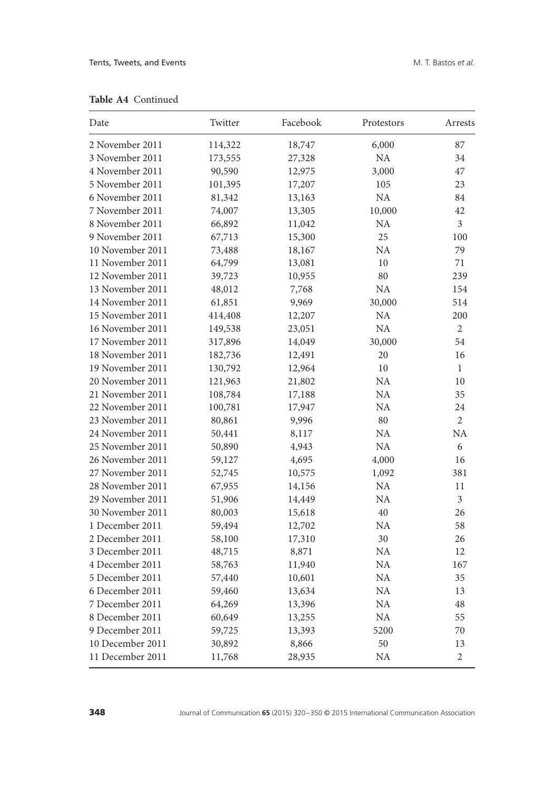| Date             | Twitter | Facebook | Protestors | Arrests        |
|------------------|---------|----------|------------|----------------|
| 2 November 2011  | 114,322 | 18,747   | 6,000      | 87             |
| 3 November 2011  | 173,555 | 27,328   | $\rm NA$   | 34             |
| 4 November 2011  | 90,590  | 12,975   | 3,000      | 47             |
| 5 November 2011  | 101,395 | 17,207   | 105        | 23             |
| 6 November 2011  | 81,342  | 13,163   | <b>NA</b>  | 84             |
| 7 November 2011  | 74,007  | 13,305   | 10,000     | 42             |
| 8 November 2011  | 66,892  | 11,042   | NA         | 3              |
| 9 November 2011  | 67,713  | 15,300   | 25         | 100            |
| 10 November 2011 | 73,488  | 18,167   | NA         | 79             |
| 11 November 2011 | 64,799  | 13,081   | 10         | 71             |
| 12 November 2011 | 39,723  | 10,955   | 80         | 239            |
| 13 November 2011 | 48,012  | 7,768    | <b>NA</b>  | 154            |
| 14 November 2011 | 61,851  | 9,969    | 30,000     | 514            |
| 15 November 2011 | 414,408 | 12,207   | <b>NA</b>  | 200            |
| 16 November 2011 | 149,538 | 23,051   | NA         | 2              |
| 17 November 2011 | 317,896 | 14,049   | 30,000     | 54             |
| 18 November 2011 | 182,736 | 12,491   | 20         | 16             |
| 19 November 2011 | 130,792 | 12,964   | 10         | $\mathbf{1}$   |
| 20 November 2011 | 121,963 | 21,802   | NA         | 10             |
| 21 November 2011 | 108,784 | 17,188   | <b>NA</b>  | 35             |
| 22 November 2011 | 100,781 | 17,947   | <b>NA</b>  | 24             |
| 23 November 2011 | 80,861  | 9,996    | 80         | 2              |
| 24 November 2011 | 50,441  | 8,117    | NA         | NA             |
| 25 November 2011 | 50,890  | 4,943    | <b>NA</b>  | 6              |
| 26 November 2011 | 59,127  | 4,695    | 4,000      | 16             |
| 27 November 2011 | 52,745  | 10,575   | 1,092      | 381            |
| 28 November 2011 | 67,955  | 14,156   | NA         | 11             |
| 29 November 2011 | 51,906  | 14,449   | NA         | 3              |
| 30 November 2011 | 80,003  | 15,618   | 40         | 26             |
| 1 December 2011  | 59,494  | 12,702   | NA         | 58             |
| 2 December 2011  | 58,100  | 17,310   | 30         | 26             |
| 3 December 2011  | 48,715  | 8,871    | NA         | 12             |
| 4 December 2011  | 58,763  | 11,940   | NA         | 167            |
| 5 December 2011  | 57,440  | 10,601   | NA         | 35             |
| 6 December 2011  | 59,460  | 13,634   | NA         | 13             |
| 7 December 2011  | 64,269  | 13,396   | NA         | 48             |
| 8 December 2011  | 60,649  | 13,255   | <b>NA</b>  | 55             |
| 9 December 2011  | 59,725  | 13,393   | 5200       | 70             |
| 10 December 2011 | 30,892  | 8,866    | 50         | 13             |
| 11 December 2011 | 11,768  | 28,935   | <b>NA</b>  | $\overline{2}$ |

**Table A4** Continued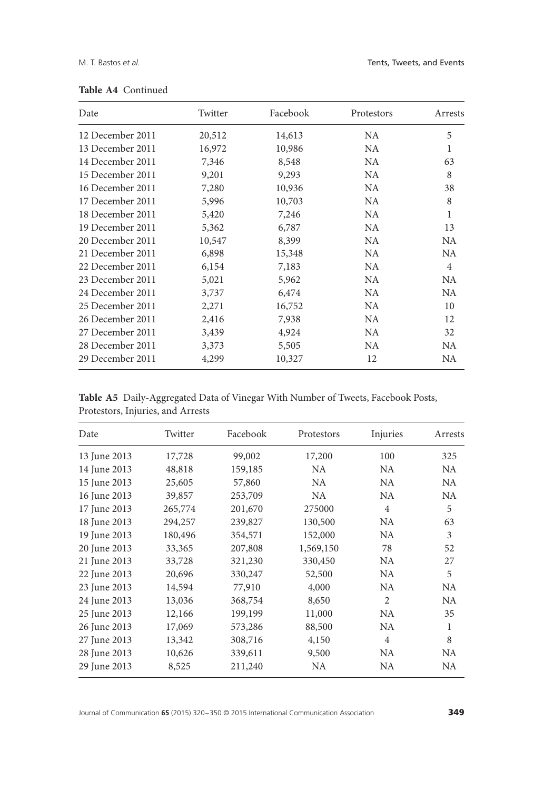| Date             | Twitter | Facebook | Protestors | Arrests        |
|------------------|---------|----------|------------|----------------|
| 12 December 2011 | 20,512  | 14,613   | NA.        | 5              |
| 13 December 2011 | 16,972  | 10,986   | NA.        | 1              |
| 14 December 2011 | 7,346   | 8,548    | <b>NA</b>  | 63             |
| 15 December 2011 | 9,201   | 9,293    | NA.        | 8              |
| 16 December 2011 | 7,280   | 10,936   | <b>NA</b>  | 38             |
| 17 December 2011 | 5,996   | 10,703   | <b>NA</b>  | 8              |
| 18 December 2011 | 5,420   | 7,246    | NA.        | 1              |
| 19 December 2011 | 5,362   | 6,787    | NA.        | 13             |
| 20 December 2011 | 10,547  | 8,399    | <b>NA</b>  | <b>NA</b>      |
| 21 December 2011 | 6,898   | 15,348   | NA.        | NA.            |
| 22 December 2011 | 6,154   | 7,183    | NA.        | $\overline{4}$ |
| 23 December 2011 | 5,021   | 5,962    | NA.        | NA             |
| 24 December 2011 | 3,737   | 6,474    | NA.        | NA.            |
| 25 December 2011 | 2,271   | 16,752   | NA.        | 10             |
| 26 December 2011 | 2,416   | 7,938    | <b>NA</b>  | 12             |
| 27 December 2011 | 3,439   | 4,924    | NA.        | 32             |
| 28 December 2011 | 3,373   | 5,505    | NA.        | NA.            |
| 29 December 2011 | 4,299   | 10,327   | 12         | <b>NA</b>      |

|  |  | Table A4 Continued |
|--|--|--------------------|
|--|--|--------------------|

**Table A5** Daily-Aggregated Data of Vinegar With Number of Tweets, Facebook Posts, Protestors, Injuries, and Arrests

| Date         | Twitter | Facebook | Protestors | Injuries       | Arrests |
|--------------|---------|----------|------------|----------------|---------|
| 13 June 2013 | 17,728  | 99,002   | 17,200     | 100            | 325     |
| 14 June 2013 | 48,818  | 159,185  | NA.        | NA.            | NA.     |
| 15 June 2013 | 25,605  | 57,860   | NA.        | NA.            | NA.     |
| 16 June 2013 | 39,857  | 253,709  | NA.        | NA.            | NA.     |
| 17 June 2013 | 265,774 | 201,670  | 275000     | $\overline{4}$ | 5       |
| 18 June 2013 | 294,257 | 239,827  | 130,500    | NA.            | 63      |
| 19 June 2013 | 180,496 | 354,571  | 152,000    | NA.            | 3       |
| 20 June 2013 | 33,365  | 207,808  | 1,569,150  | 78             | 52      |
| 21 June 2013 | 33,728  | 321,230  | 330,450    | NA.            | 27      |
| 22 June 2013 | 20,696  | 330,247  | 52,500     | NA.            | 5       |
| 23 June 2013 | 14,594  | 77,910   | 4,000      | NA.            | NA.     |
| 24 June 2013 | 13,036  | 368,754  | 8,650      | $\overline{c}$ | NA.     |
| 25 June 2013 | 12,166  | 199,199  | 11,000     | NA.            | 35      |
| 26 June 2013 | 17,069  | 573,286  | 88,500     | <b>NA</b>      | 1       |
| 27 June 2013 | 13,342  | 308,716  | 4,150      | $\overline{4}$ | 8       |
| 28 June 2013 | 10,626  | 339,611  | 9,500      | NA.            | NA.     |
| 29 June 2013 | 8,525   | 211,240  | NA.        | NA             | NA.     |